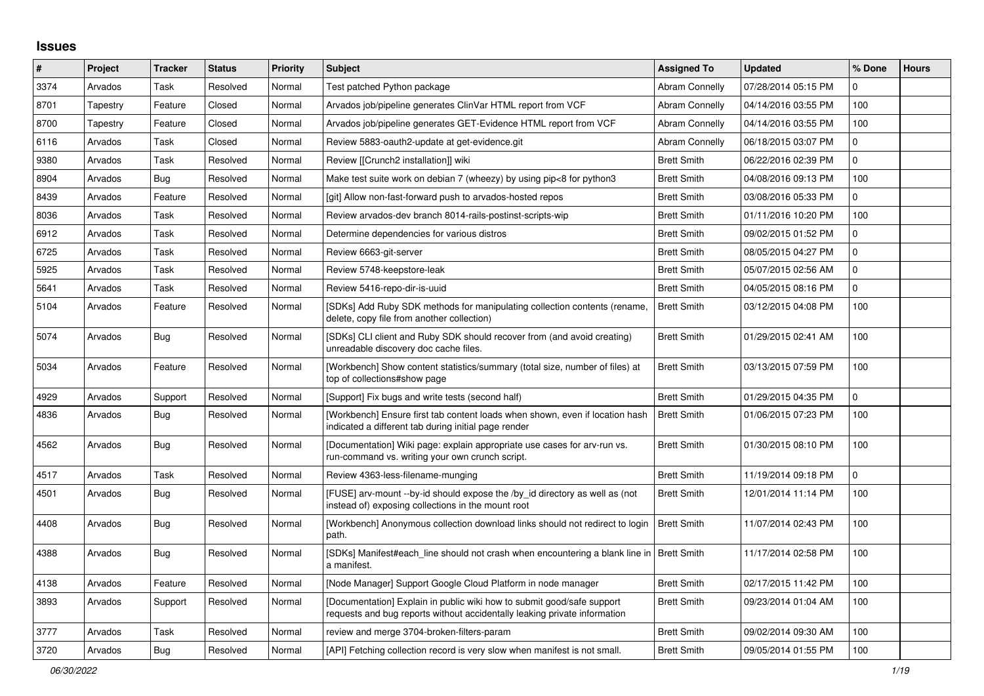## **Issues**

| $\pmb{\#}$ | Project  | <b>Tracker</b> | <b>Status</b> | <b>Priority</b> | <b>Subject</b>                                                                                                                                      | <b>Assigned To</b>    | <b>Updated</b>      | % Done         | <b>Hours</b> |
|------------|----------|----------------|---------------|-----------------|-----------------------------------------------------------------------------------------------------------------------------------------------------|-----------------------|---------------------|----------------|--------------|
| 3374       | Arvados  | Task           | Resolved      | Normal          | Test patched Python package                                                                                                                         | <b>Abram Connelly</b> | 07/28/2014 05:15 PM | 0              |              |
| 8701       | Tapestry | Feature        | Closed        | Normal          | Arvados job/pipeline generates ClinVar HTML report from VCF                                                                                         | Abram Connelly        | 04/14/2016 03:55 PM | 100            |              |
| 8700       | Tapestry | Feature        | Closed        | Normal          | Arvados job/pipeline generates GET-Evidence HTML report from VCF                                                                                    | <b>Abram Connelly</b> | 04/14/2016 03:55 PM | 100            |              |
| 6116       | Arvados  | Task           | Closed        | Normal          | Review 5883-oauth2-update at get-evidence.git                                                                                                       | <b>Abram Connelly</b> | 06/18/2015 03:07 PM | 0              |              |
| 9380       | Arvados  | Task           | Resolved      | Normal          | Review [[Crunch2 installation]] wiki                                                                                                                | <b>Brett Smith</b>    | 06/22/2016 02:39 PM | $\overline{0}$ |              |
| 8904       | Arvados  | Bug            | Resolved      | Normal          | Make test suite work on debian 7 (wheezy) by using pip<8 for python3                                                                                | <b>Brett Smith</b>    | 04/08/2016 09:13 PM | 100            |              |
| 8439       | Arvados  | Feature        | Resolved      | Normal          | [git] Allow non-fast-forward push to arvados-hosted repos                                                                                           | <b>Brett Smith</b>    | 03/08/2016 05:33 PM | 0              |              |
| 8036       | Arvados  | Task           | Resolved      | Normal          | Review arvados-dev branch 8014-rails-postinst-scripts-wip                                                                                           | <b>Brett Smith</b>    | 01/11/2016 10:20 PM | 100            |              |
| 6912       | Arvados  | Task           | Resolved      | Normal          | Determine dependencies for various distros                                                                                                          | <b>Brett Smith</b>    | 09/02/2015 01:52 PM | 0              |              |
| 6725       | Arvados  | Task           | Resolved      | Normal          | Review 6663-git-server                                                                                                                              | <b>Brett Smith</b>    | 08/05/2015 04:27 PM | 0              |              |
| 5925       | Arvados  | Task           | Resolved      | Normal          | Review 5748-keepstore-leak                                                                                                                          | <b>Brett Smith</b>    | 05/07/2015 02:56 AM | 0              |              |
| 5641       | Arvados  | Task           | Resolved      | Normal          | Review 5416-repo-dir-is-uuid                                                                                                                        | <b>Brett Smith</b>    | 04/05/2015 08:16 PM | 0              |              |
| 5104       | Arvados  | Feature        | Resolved      | Normal          | [SDKs] Add Ruby SDK methods for manipulating collection contents (rename,<br>delete, copy file from another collection)                             | <b>Brett Smith</b>    | 03/12/2015 04:08 PM | 100            |              |
| 5074       | Arvados  | Bug            | Resolved      | Normal          | [SDKs] CLI client and Ruby SDK should recover from (and avoid creating)<br>unreadable discovery doc cache files.                                    | <b>Brett Smith</b>    | 01/29/2015 02:41 AM | 100            |              |
| 5034       | Arvados  | Feature        | Resolved      | Normal          | [Workbench] Show content statistics/summary (total size, number of files) at<br>top of collections#show page                                        | <b>Brett Smith</b>    | 03/13/2015 07:59 PM | 100            |              |
| 4929       | Arvados  | Support        | Resolved      | Normal          | [Support] Fix bugs and write tests (second half)                                                                                                    | <b>Brett Smith</b>    | 01/29/2015 04:35 PM | $\mathbf 0$    |              |
| 4836       | Arvados  | Bug            | Resolved      | Normal          | [Workbench] Ensure first tab content loads when shown, even if location hash<br>indicated a different tab during initial page render                | <b>Brett Smith</b>    | 01/06/2015 07:23 PM | 100            |              |
| 4562       | Arvados  | Bug            | Resolved      | Normal          | [Documentation] Wiki page: explain appropriate use cases for arv-run vs.<br>run-command vs. writing your own crunch script.                         | <b>Brett Smith</b>    | 01/30/2015 08:10 PM | 100            |              |
| 4517       | Arvados  | Task           | Resolved      | Normal          | Review 4363-less-filename-munging                                                                                                                   | <b>Brett Smith</b>    | 11/19/2014 09:18 PM | $\Omega$       |              |
| 4501       | Arvados  | <b>Bug</b>     | Resolved      | Normal          | [FUSE] arv-mount --by-id should expose the /by_id directory as well as (not<br>instead of) exposing collections in the mount root                   | <b>Brett Smith</b>    | 12/01/2014 11:14 PM | 100            |              |
| 4408       | Arvados  | <b>Bug</b>     | Resolved      | Normal          | [Workbench] Anonymous collection download links should not redirect to login<br>path.                                                               | <b>Brett Smith</b>    | 11/07/2014 02:43 PM | 100            |              |
| 4388       | Arvados  | Bug            | Resolved      | Normal          | [SDKs] Manifest#each line should not crash when encountering a blank line in   Brett Smith<br>a manifest.                                           |                       | 11/17/2014 02:58 PM | 100            |              |
| 4138       | Arvados  | Feature        | Resolved      | Normal          | [Node Manager] Support Google Cloud Platform in node manager                                                                                        | <b>Brett Smith</b>    | 02/17/2015 11:42 PM | 100            |              |
| 3893       | Arvados  | Support        | Resolved      | Normal          | [Documentation] Explain in public wiki how to submit good/safe support<br>requests and bug reports without accidentally leaking private information | <b>Brett Smith</b>    | 09/23/2014 01:04 AM | 100            |              |
| 3777       | Arvados  | Task           | Resolved      | Normal          | review and merge 3704-broken-filters-param                                                                                                          | <b>Brett Smith</b>    | 09/02/2014 09:30 AM | 100            |              |
| 3720       | Arvados  | Bug            | Resolved      | Normal          | [API] Fetching collection record is very slow when manifest is not small.                                                                           | <b>Brett Smith</b>    | 09/05/2014 01:55 PM | 100            |              |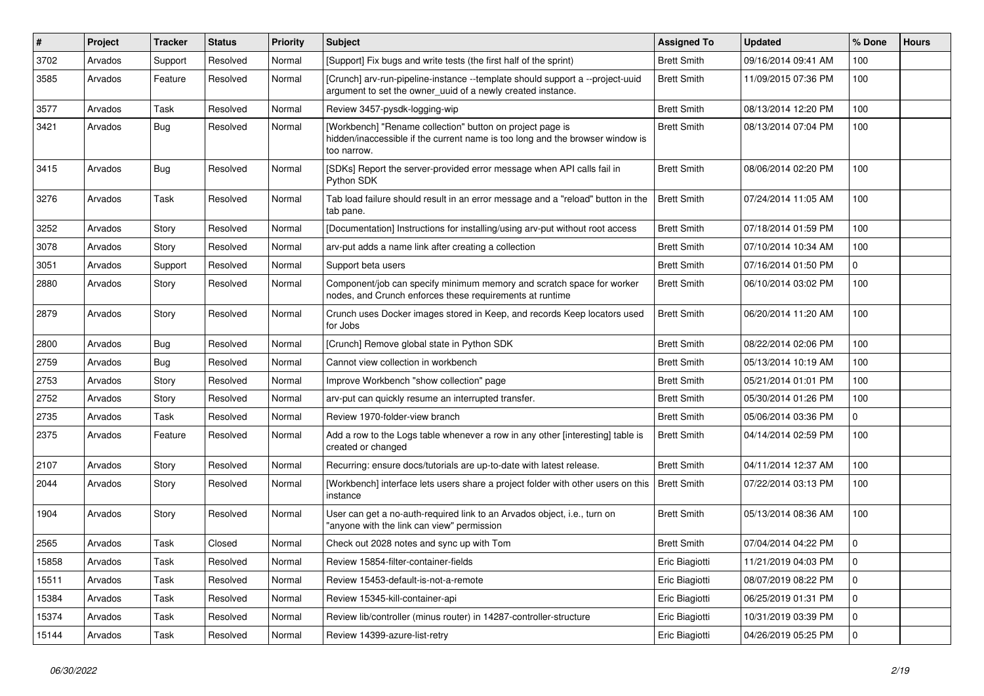| #     | Project | <b>Tracker</b> | <b>Status</b> | Priority | <b>Subject</b>                                                                                                                                            | <b>Assigned To</b> | <b>Updated</b>      | % Done         | <b>Hours</b> |
|-------|---------|----------------|---------------|----------|-----------------------------------------------------------------------------------------------------------------------------------------------------------|--------------------|---------------------|----------------|--------------|
| 3702  | Arvados | Support        | Resolved      | Normal   | [Support] Fix bugs and write tests (the first half of the sprint)                                                                                         | <b>Brett Smith</b> | 09/16/2014 09:41 AM | 100            |              |
| 3585  | Arvados | Feature        | Resolved      | Normal   | [Crunch] arv-run-pipeline-instance --template should support a --project-uuid<br>argument to set the owner uuid of a newly created instance.              | <b>Brett Smith</b> | 11/09/2015 07:36 PM | 100            |              |
| 3577  | Arvados | Task           | Resolved      | Normal   | Review 3457-pysdk-logging-wip                                                                                                                             | <b>Brett Smith</b> | 08/13/2014 12:20 PM | 100            |              |
| 3421  | Arvados | Bug            | Resolved      | Normal   | [Workbench] "Rename collection" button on project page is<br>hidden/inaccessible if the current name is too long and the browser window is<br>too narrow. | <b>Brett Smith</b> | 08/13/2014 07:04 PM | 100            |              |
| 3415  | Arvados | Bug            | Resolved      | Normal   | [SDKs] Report the server-provided error message when API calls fail in<br>Python SDK                                                                      | <b>Brett Smith</b> | 08/06/2014 02:20 PM | 100            |              |
| 3276  | Arvados | Task           | Resolved      | Normal   | Tab load failure should result in an error message and a "reload" button in the<br>tab pane.                                                              | <b>Brett Smith</b> | 07/24/2014 11:05 AM | 100            |              |
| 3252  | Arvados | Story          | Resolved      | Normal   | [Documentation] Instructions for installing/using arv-put without root access                                                                             | <b>Brett Smith</b> | 07/18/2014 01:59 PM | 100            |              |
| 3078  | Arvados | Story          | Resolved      | Normal   | arv-put adds a name link after creating a collection                                                                                                      | <b>Brett Smith</b> | 07/10/2014 10:34 AM | 100            |              |
| 3051  | Arvados | Support        | Resolved      | Normal   | Support beta users                                                                                                                                        | <b>Brett Smith</b> | 07/16/2014 01:50 PM | $\overline{0}$ |              |
| 2880  | Arvados | Story          | Resolved      | Normal   | Component/job can specify minimum memory and scratch space for worker<br>nodes, and Crunch enforces these requirements at runtime                         | <b>Brett Smith</b> | 06/10/2014 03:02 PM | 100            |              |
| 2879  | Arvados | Story          | Resolved      | Normal   | Crunch uses Docker images stored in Keep, and records Keep locators used<br>for Jobs                                                                      | <b>Brett Smith</b> | 06/20/2014 11:20 AM | 100            |              |
| 2800  | Arvados | Bug            | Resolved      | Normal   | [Crunch] Remove global state in Python SDK                                                                                                                | <b>Brett Smith</b> | 08/22/2014 02:06 PM | 100            |              |
| 2759  | Arvados | Bug            | Resolved      | Normal   | Cannot view collection in workbench                                                                                                                       | <b>Brett Smith</b> | 05/13/2014 10:19 AM | 100            |              |
| 2753  | Arvados | Story          | Resolved      | Normal   | Improve Workbench "show collection" page                                                                                                                  | <b>Brett Smith</b> | 05/21/2014 01:01 PM | 100            |              |
| 2752  | Arvados | Story          | Resolved      | Normal   | arv-put can quickly resume an interrupted transfer.                                                                                                       | <b>Brett Smith</b> | 05/30/2014 01:26 PM | 100            |              |
| 2735  | Arvados | Task           | Resolved      | Normal   | Review 1970-folder-view branch                                                                                                                            | <b>Brett Smith</b> | 05/06/2014 03:36 PM | $\mathbf{0}$   |              |
| 2375  | Arvados | Feature        | Resolved      | Normal   | Add a row to the Logs table whenever a row in any other [interesting] table is<br>created or changed                                                      | <b>Brett Smith</b> | 04/14/2014 02:59 PM | 100            |              |
| 2107  | Arvados | Story          | Resolved      | Normal   | Recurring: ensure docs/tutorials are up-to-date with latest release.                                                                                      | <b>Brett Smith</b> | 04/11/2014 12:37 AM | 100            |              |
| 2044  | Arvados | Story          | Resolved      | Normal   | [Workbench] interface lets users share a project folder with other users on this<br>instance                                                              | <b>Brett Smith</b> | 07/22/2014 03:13 PM | 100            |              |
| 1904  | Arvados | Story          | Resolved      | Normal   | User can get a no-auth-required link to an Arvados object, i.e., turn on<br>"anyone with the link can view" permission                                    | <b>Brett Smith</b> | 05/13/2014 08:36 AM | 100            |              |
| 2565  | Arvados | Task           | Closed        | Normal   | Check out 2028 notes and sync up with Tom                                                                                                                 | <b>Brett Smith</b> | 07/04/2014 04:22 PM | $\mathbf 0$    |              |
| 15858 | Arvados | Task           | Resolved      | Normal   | Review 15854-filter-container-fields                                                                                                                      | Eric Biagiotti     | 11/21/2019 04:03 PM | $\mathbf{0}$   |              |
| 15511 | Arvados | Task           | Resolved      | Normal   | Review 15453-default-is-not-a-remote                                                                                                                      | Eric Biagiotti     | 08/07/2019 08:22 PM | $\mathbf{0}$   |              |
| 15384 | Arvados | Task           | Resolved      | Normal   | Review 15345-kill-container-api                                                                                                                           | Eric Biagiotti     | 06/25/2019 01:31 PM | $\mathbf 0$    |              |
| 15374 | Arvados | Task           | Resolved      | Normal   | Review lib/controller (minus router) in 14287-controller-structure                                                                                        | Eric Biagiotti     | 10/31/2019 03:39 PM | $\mathbf{0}$   |              |
| 15144 | Arvados | Task           | Resolved      | Normal   | Review 14399-azure-list-retry                                                                                                                             | Eric Biagiotti     | 04/26/2019 05:25 PM | $\Omega$       |              |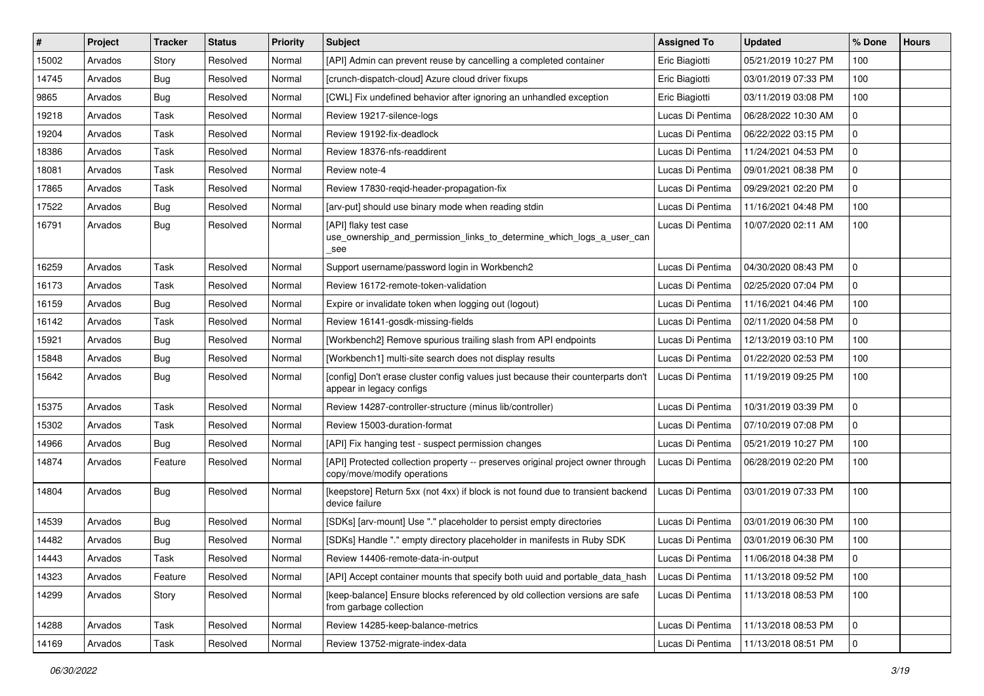| #     | Project | <b>Tracker</b> | <b>Status</b> | <b>Priority</b> | <b>Subject</b>                                                                                                 | <b>Assigned To</b> | <b>Updated</b>      | % Done       | <b>Hours</b> |
|-------|---------|----------------|---------------|-----------------|----------------------------------------------------------------------------------------------------------------|--------------------|---------------------|--------------|--------------|
| 15002 | Arvados | Story          | Resolved      | Normal          | [API] Admin can prevent reuse by cancelling a completed container                                              | Eric Biagiotti     | 05/21/2019 10:27 PM | 100          |              |
| 14745 | Arvados | Bug            | Resolved      | Normal          | [crunch-dispatch-cloud] Azure cloud driver fixups                                                              | Eric Biagiotti     | 03/01/2019 07:33 PM | 100          |              |
| 9865  | Arvados | Bug            | Resolved      | Normal          | [CWL] Fix undefined behavior after ignoring an unhandled exception                                             | Eric Biagiotti     | 03/11/2019 03:08 PM | 100          |              |
| 19218 | Arvados | Task           | Resolved      | Normal          | Review 19217-silence-logs                                                                                      | Lucas Di Pentima   | 06/28/2022 10:30 AM | $\mathbf{0}$ |              |
| 19204 | Arvados | Task           | Resolved      | Normal          | Review 19192-fix-deadlock                                                                                      | Lucas Di Pentima   | 06/22/2022 03:15 PM | 0            |              |
| 18386 | Arvados | Task           | Resolved      | Normal          | Review 18376-nfs-readdirent                                                                                    | Lucas Di Pentima   | 11/24/2021 04:53 PM | 0            |              |
| 18081 | Arvados | Task           | Resolved      | Normal          | Review note-4                                                                                                  | Lucas Di Pentima   | 09/01/2021 08:38 PM | $\mathbf 0$  |              |
| 17865 | Arvados | Task           | Resolved      | Normal          | Review 17830-regid-header-propagation-fix                                                                      | Lucas Di Pentima   | 09/29/2021 02:20 PM | $\mathsf{O}$ |              |
| 17522 | Arvados | <b>Bug</b>     | Resolved      | Normal          | [arv-put] should use binary mode when reading stdin                                                            | Lucas Di Pentima   | 11/16/2021 04:48 PM | 100          |              |
| 16791 | Arvados | Bug            | Resolved      | Normal          | [API] flaky test case<br>use_ownership_and_permission_links_to_determine_which_logs_a_user_can<br>see          | Lucas Di Pentima   | 10/07/2020 02:11 AM | 100          |              |
| 16259 | Arvados | Task           | Resolved      | Normal          | Support username/password login in Workbench2                                                                  | Lucas Di Pentima   | 04/30/2020 08:43 PM | $\mathsf{O}$ |              |
| 16173 | Arvados | Task           | Resolved      | Normal          | Review 16172-remote-token-validation                                                                           | Lucas Di Pentima   | 02/25/2020 07:04 PM | $\mathbf{0}$ |              |
| 16159 | Arvados | <b>Bug</b>     | Resolved      | Normal          | Expire or invalidate token when logging out (logout)                                                           | Lucas Di Pentima   | 11/16/2021 04:46 PM | 100          |              |
| 16142 | Arvados | Task           | Resolved      | Normal          | Review 16141-gosdk-missing-fields                                                                              | Lucas Di Pentima   | 02/11/2020 04:58 PM | $\mathbf{0}$ |              |
| 15921 | Arvados | <b>Bug</b>     | Resolved      | Normal          | [Workbench2] Remove spurious trailing slash from API endpoints                                                 | Lucas Di Pentima   | 12/13/2019 03:10 PM | 100          |              |
| 15848 | Arvados | Bug            | Resolved      | Normal          | [Workbench1] multi-site search does not display results                                                        | Lucas Di Pentima   | 01/22/2020 02:53 PM | 100          |              |
| 15642 | Arvados | Bug            | Resolved      | Normal          | [config] Don't erase cluster config values just because their counterparts don't<br>appear in legacy configs   | Lucas Di Pentima   | 11/19/2019 09:25 PM | 100          |              |
| 15375 | Arvados | Task           | Resolved      | Normal          | Review 14287-controller-structure (minus lib/controller)                                                       | Lucas Di Pentima   | 10/31/2019 03:39 PM | $\mathbf 0$  |              |
| 15302 | Arvados | Task           | Resolved      | Normal          | Review 15003-duration-format                                                                                   | Lucas Di Pentima   | 07/10/2019 07:08 PM | $\mathbf{0}$ |              |
| 14966 | Arvados | Bug            | Resolved      | Normal          | [API] Fix hanging test - suspect permission changes                                                            | Lucas Di Pentima   | 05/21/2019 10:27 PM | 100          |              |
| 14874 | Arvados | Feature        | Resolved      | Normal          | [API] Protected collection property -- preserves original project owner through<br>copy/move/modify operations | Lucas Di Pentima   | 06/28/2019 02:20 PM | 100          |              |
| 14804 | Arvados | Bug            | Resolved      | Normal          | [keepstore] Return 5xx (not 4xx) if block is not found due to transient backend<br>device failure              | Lucas Di Pentima   | 03/01/2019 07:33 PM | 100          |              |
| 14539 | Arvados | Bug            | Resolved      | Normal          | [SDKs] [arv-mount] Use "." placeholder to persist empty directories                                            | Lucas Di Pentima   | 03/01/2019 06:30 PM | 100          |              |
| 14482 | Arvados | Bug            | Resolved      | Normal          | [SDKs] Handle "." empty directory placeholder in manifests in Ruby SDK                                         | Lucas Di Pentima   | 03/01/2019 06:30 PM | 100          |              |
| 14443 | Arvados | Task           | Resolved      | Normal          | Review 14406-remote-data-in-output                                                                             | Lucas Di Pentima   | 11/06/2018 04:38 PM | 0            |              |
| 14323 | Arvados | Feature        | Resolved      | Normal          | [API] Accept container mounts that specify both uuid and portable_data_hash                                    | Lucas Di Pentima   | 11/13/2018 09:52 PM | 100          |              |
| 14299 | Arvados | Story          | Resolved      | Normal          | [keep-balance] Ensure blocks referenced by old collection versions are safe<br>from garbage collection         | Lucas Di Pentima   | 11/13/2018 08:53 PM | 100          |              |
| 14288 | Arvados | Task           | Resolved      | Normal          | Review 14285-keep-balance-metrics                                                                              | Lucas Di Pentima   | 11/13/2018 08:53 PM | $\mathbf 0$  |              |
| 14169 | Arvados | Task           | Resolved      | Normal          | Review 13752-migrate-index-data                                                                                | Lucas Di Pentima   | 11/13/2018 08:51 PM | $\mathbf 0$  |              |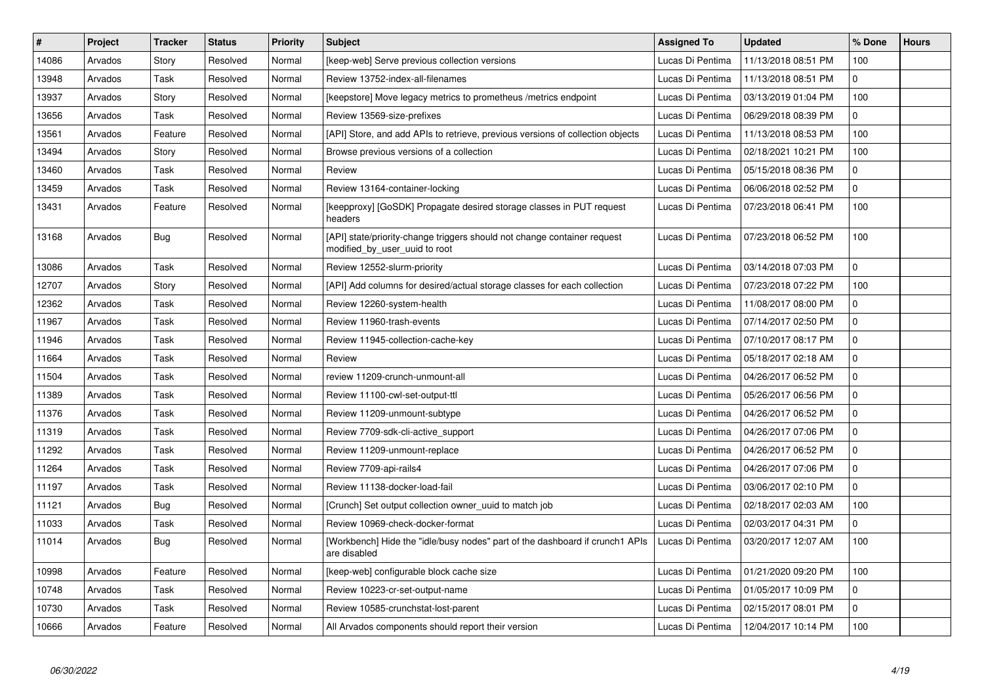| $\pmb{\#}$ | Project | <b>Tracker</b> | <b>Status</b> | <b>Priority</b> | <b>Subject</b>                                                                                            | <b>Assigned To</b> | <b>Updated</b>      | % Done       | <b>Hours</b> |
|------------|---------|----------------|---------------|-----------------|-----------------------------------------------------------------------------------------------------------|--------------------|---------------------|--------------|--------------|
| 14086      | Arvados | Story          | Resolved      | Normal          | [keep-web] Serve previous collection versions                                                             | Lucas Di Pentima   | 11/13/2018 08:51 PM | 100          |              |
| 13948      | Arvados | Task           | Resolved      | Normal          | Review 13752-index-all-filenames                                                                          | Lucas Di Pentima   | 11/13/2018 08:51 PM | $\mathbf 0$  |              |
| 13937      | Arvados | Story          | Resolved      | Normal          | [keepstore] Move legacy metrics to prometheus / metrics endpoint                                          | Lucas Di Pentima   | 03/13/2019 01:04 PM | 100          |              |
| 13656      | Arvados | Task           | Resolved      | Normal          | Review 13569-size-prefixes                                                                                | Lucas Di Pentima   | 06/29/2018 08:39 PM | $\mathbf{0}$ |              |
| 13561      | Arvados | Feature        | Resolved      | Normal          | [API] Store, and add APIs to retrieve, previous versions of collection objects                            | Lucas Di Pentima   | 11/13/2018 08:53 PM | 100          |              |
| 13494      | Arvados | Story          | Resolved      | Normal          | Browse previous versions of a collection                                                                  | Lucas Di Pentima   | 02/18/2021 10:21 PM | 100          |              |
| 13460      | Arvados | Task           | Resolved      | Normal          | Review                                                                                                    | Lucas Di Pentima   | 05/15/2018 08:36 PM | $\mathbf 0$  |              |
| 13459      | Arvados | Task           | Resolved      | Normal          | Review 13164-container-locking                                                                            | Lucas Di Pentima   | 06/06/2018 02:52 PM | $\mathbf 0$  |              |
| 13431      | Arvados | Feature        | Resolved      | Normal          | [keepproxy] [GoSDK] Propagate desired storage classes in PUT request<br>headers                           | Lucas Di Pentima   | 07/23/2018 06:41 PM | 100          |              |
| 13168      | Arvados | Bug            | Resolved      | Normal          | [API] state/priority-change triggers should not change container request<br>modified by user uuid to root | Lucas Di Pentima   | 07/23/2018 06:52 PM | 100          |              |
| 13086      | Arvados | Task           | Resolved      | Normal          | Review 12552-slurm-priority                                                                               | Lucas Di Pentima   | 03/14/2018 07:03 PM | $\mathbf 0$  |              |
| 12707      | Arvados | Story          | Resolved      | Normal          | [API] Add columns for desired/actual storage classes for each collection                                  | Lucas Di Pentima   | 07/23/2018 07:22 PM | 100          |              |
| 12362      | Arvados | Task           | Resolved      | Normal          | Review 12260-system-health                                                                                | Lucas Di Pentima   | 11/08/2017 08:00 PM | $\mathbf{0}$ |              |
| 11967      | Arvados | Task           | Resolved      | Normal          | Review 11960-trash-events                                                                                 | Lucas Di Pentima   | 07/14/2017 02:50 PM | $\mathbf 0$  |              |
| 11946      | Arvados | Task           | Resolved      | Normal          | Review 11945-collection-cache-key                                                                         | Lucas Di Pentima   | 07/10/2017 08:17 PM | $\mathbf 0$  |              |
| 11664      | Arvados | Task           | Resolved      | Normal          | Review                                                                                                    | Lucas Di Pentima   | 05/18/2017 02:18 AM | $\mathbf 0$  |              |
| 11504      | Arvados | Task           | Resolved      | Normal          | review 11209-crunch-unmount-all                                                                           | Lucas Di Pentima   | 04/26/2017 06:52 PM | $\mathbf 0$  |              |
| 11389      | Arvados | Task           | Resolved      | Normal          | Review 11100-cwl-set-output-ttl                                                                           | Lucas Di Pentima   | 05/26/2017 06:56 PM | $\Omega$     |              |
| 11376      | Arvados | Task           | Resolved      | Normal          | Review 11209-unmount-subtype                                                                              | Lucas Di Pentima   | 04/26/2017 06:52 PM | $\mathbf 0$  |              |
| 11319      | Arvados | Task           | Resolved      | Normal          | Review 7709-sdk-cli-active support                                                                        | Lucas Di Pentima   | 04/26/2017 07:06 PM | $\mathbf{0}$ |              |
| 11292      | Arvados | Task           | Resolved      | Normal          | Review 11209-unmount-replace                                                                              | Lucas Di Pentima   | 04/26/2017 06:52 PM | $\mathbf{0}$ |              |
| 11264      | Arvados | Task           | Resolved      | Normal          | Review 7709-api-rails4                                                                                    | Lucas Di Pentima   | 04/26/2017 07:06 PM | $\mathbf 0$  |              |
| 11197      | Arvados | Task           | Resolved      | Normal          | Review 11138-docker-load-fail                                                                             | Lucas Di Pentima   | 03/06/2017 02:10 PM | $\mathbf{0}$ |              |
| 11121      | Arvados | <b>Bug</b>     | Resolved      | Normal          | [Crunch] Set output collection owner_uuid to match job                                                    | Lucas Di Pentima   | 02/18/2017 02:03 AM | 100          |              |
| 11033      | Arvados | Task           | Resolved      | Normal          | Review 10969-check-docker-format                                                                          | Lucas Di Pentima   | 02/03/2017 04:31 PM | 0            |              |
| 11014      | Arvados | Bug            | Resolved      | Normal          | [Workbench] Hide the "idle/busy nodes" part of the dashboard if crunch1 APIs<br>are disabled              | Lucas Di Pentima   | 03/20/2017 12:07 AM | 100          |              |
| 10998      | Arvados | Feature        | Resolved      | Normal          | [keep-web] configurable block cache size                                                                  | Lucas Di Pentima   | 01/21/2020 09:20 PM | 100          |              |
| 10748      | Arvados | Task           | Resolved      | Normal          | Review 10223-cr-set-output-name                                                                           | Lucas Di Pentima   | 01/05/2017 10:09 PM | 0            |              |
| 10730      | Arvados | Task           | Resolved      | Normal          | Review 10585-crunchstat-lost-parent                                                                       | Lucas Di Pentima   | 02/15/2017 08:01 PM | $\mathbf{0}$ |              |
| 10666      | Arvados | Feature        | Resolved      | Normal          | All Arvados components should report their version                                                        | Lucas Di Pentima   | 12/04/2017 10:14 PM | 100          |              |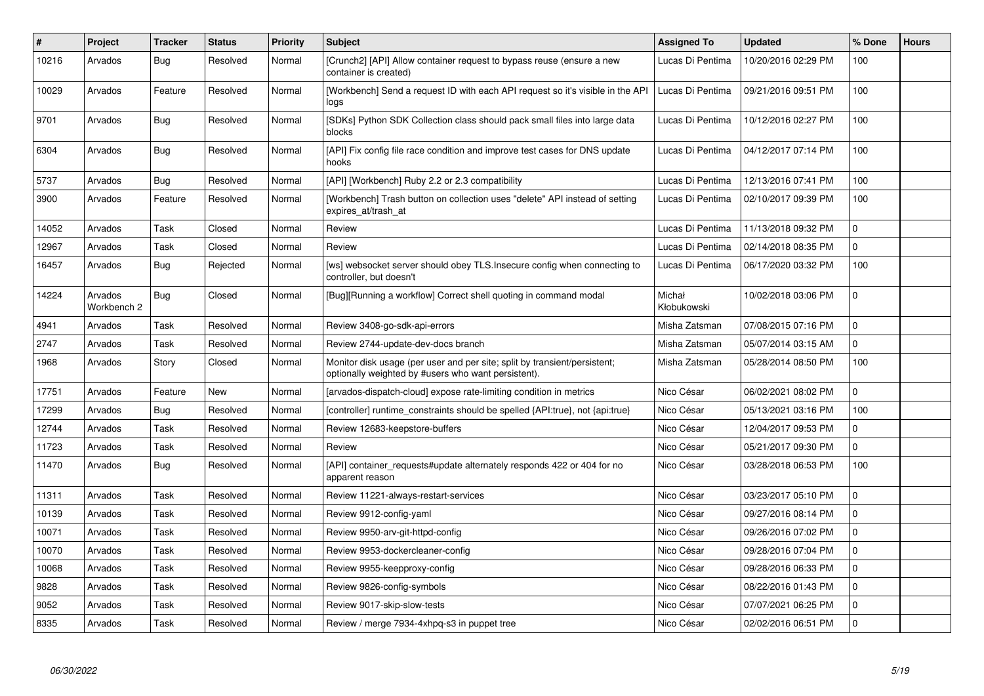| #     | Project                | <b>Tracker</b> | <b>Status</b> | <b>Priority</b> | <b>Subject</b>                                                                                                                   | <b>Assigned To</b>    | <b>Updated</b>      | % Done         | <b>Hours</b> |
|-------|------------------------|----------------|---------------|-----------------|----------------------------------------------------------------------------------------------------------------------------------|-----------------------|---------------------|----------------|--------------|
| 10216 | Arvados                | <b>Bug</b>     | Resolved      | Normal          | [Crunch2] [API] Allow container request to bypass reuse (ensure a new<br>container is created)                                   | Lucas Di Pentima      | 10/20/2016 02:29 PM | 100            |              |
| 10029 | Arvados                | Feature        | Resolved      | Normal          | [Workbench] Send a request ID with each API request so it's visible in the API<br>logs                                           | Lucas Di Pentima      | 09/21/2016 09:51 PM | 100            |              |
| 9701  | Arvados                | <b>Bug</b>     | Resolved      | Normal          | [SDKs] Python SDK Collection class should pack small files into large data<br>blocks                                             | Lucas Di Pentima      | 10/12/2016 02:27 PM | 100            |              |
| 6304  | Arvados                | <b>Bug</b>     | Resolved      | Normal          | [API] Fix config file race condition and improve test cases for DNS update<br>hooks                                              | Lucas Di Pentima      | 04/12/2017 07:14 PM | 100            |              |
| 5737  | Arvados                | <b>Bug</b>     | Resolved      | Normal          | [API] [Workbench] Ruby 2.2 or 2.3 compatibility                                                                                  | Lucas Di Pentima      | 12/13/2016 07:41 PM | 100            |              |
| 3900  | Arvados                | Feature        | Resolved      | Normal          | [Workbench] Trash button on collection uses "delete" API instead of setting<br>expires_at/trash_at                               | Lucas Di Pentima      | 02/10/2017 09:39 PM | 100            |              |
| 14052 | Arvados                | Task           | Closed        | Normal          | Review                                                                                                                           | Lucas Di Pentima      | 11/13/2018 09:32 PM | 0              |              |
| 12967 | Arvados                | Task           | Closed        | Normal          | Review                                                                                                                           | Lucas Di Pentima      | 02/14/2018 08:35 PM | $\overline{0}$ |              |
| 16457 | Arvados                | <b>Bug</b>     | Rejected      | Normal          | [ws] websocket server should obey TLS.Insecure config when connecting to<br>controller, but doesn't                              | Lucas Di Pentima      | 06/17/2020 03:32 PM | 100            |              |
| 14224 | Arvados<br>Workbench 2 | <b>Bug</b>     | Closed        | Normal          | [Bug][Running a workflow] Correct shell quoting in command modal                                                                 | Michał<br>Kłobukowski | 10/02/2018 03:06 PM | $\mathbf 0$    |              |
| 4941  | Arvados                | Task           | Resolved      | Normal          | Review 3408-go-sdk-api-errors                                                                                                    | Misha Zatsman         | 07/08/2015 07:16 PM | $\mathbf 0$    |              |
| 2747  | Arvados                | Task           | Resolved      | Normal          | Review 2744-update-dev-docs branch                                                                                               | Misha Zatsman         | 05/07/2014 03:15 AM | 0              |              |
| 1968  | Arvados                | Story          | Closed        | Normal          | Monitor disk usage (per user and per site; split by transient/persistent;<br>optionally weighted by #users who want persistent). | Misha Zatsman         | 05/28/2014 08:50 PM | 100            |              |
| 17751 | Arvados                | Feature        | <b>New</b>    | Normal          | [arvados-dispatch-cloud] expose rate-limiting condition in metrics                                                               | Nico César            | 06/02/2021 08:02 PM | $\mathbf 0$    |              |
| 17299 | Arvados                | <b>Bug</b>     | Resolved      | Normal          | [controller] runtime_constraints should be spelled {API:true}, not {api:true}                                                    | Nico César            | 05/13/2021 03:16 PM | 100            |              |
| 12744 | Arvados                | Task           | Resolved      | Normal          | Review 12683-keepstore-buffers                                                                                                   | Nico César            | 12/04/2017 09:53 PM | $\mathbf{0}$   |              |
| 11723 | Arvados                | Task           | Resolved      | Normal          | Review                                                                                                                           | Nico César            | 05/21/2017 09:30 PM | $\overline{0}$ |              |
| 11470 | Arvados                | <b>Bug</b>     | Resolved      | Normal          | [API] container_requests#update alternately responds 422 or 404 for no<br>apparent reason                                        | Nico César            | 03/28/2018 06:53 PM | 100            |              |
| 11311 | Arvados                | Task           | Resolved      | Normal          | Review 11221-always-restart-services                                                                                             | Nico César            | 03/23/2017 05:10 PM | $\Omega$       |              |
| 10139 | Arvados                | Task           | Resolved      | Normal          | Review 9912-config-yaml                                                                                                          | Nico César            | 09/27/2016 08:14 PM | $\mathbf{0}$   |              |
| 10071 | Arvados                | Task           | Resolved      | Normal          | Review 9950-arv-git-httpd-config                                                                                                 | Nico César            | 09/26/2016 07:02 PM | 0              |              |
| 10070 | Arvados                | Task           | Resolved      | Normal          | Review 9953-dockercleaner-config                                                                                                 | Nico César            | 09/28/2016 07:04 PM | 0              |              |
| 10068 | Arvados                | Task           | Resolved      | Normal          | Review 9955-keepproxy-config                                                                                                     | Nico César            | 09/28/2016 06:33 PM | $\mathbf 0$    |              |
| 9828  | Arvados                | Task           | Resolved      | Normal          | Review 9826-config-symbols                                                                                                       | Nico César            | 08/22/2016 01:43 PM | 0              |              |
| 9052  | Arvados                | Task           | Resolved      | Normal          | Review 9017-skip-slow-tests                                                                                                      | Nico César            | 07/07/2021 06:25 PM | $\mathbf{0}$   |              |
| 8335  | Arvados                | Task           | Resolved      | Normal          | Review / merge 7934-4xhpq-s3 in puppet tree                                                                                      | Nico César            | 02/02/2016 06:51 PM | $\Omega$       |              |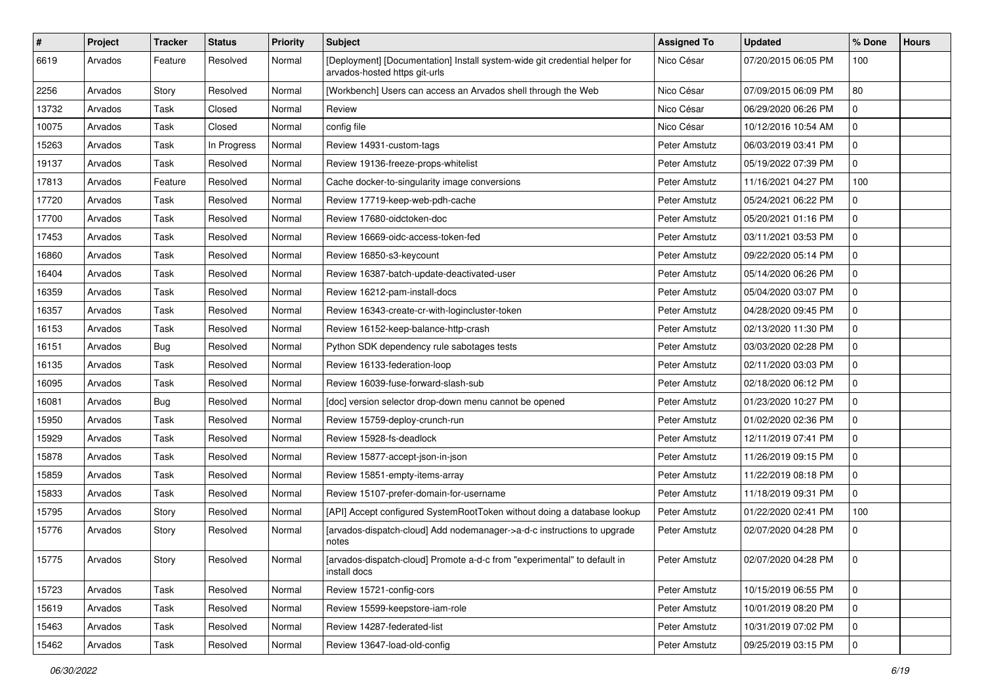| $\#$  | Project | <b>Tracker</b> | <b>Status</b> | <b>Priority</b> | <b>Subject</b>                                                                                              | <b>Assigned To</b> | <b>Updated</b>      | % Done       | <b>Hours</b> |
|-------|---------|----------------|---------------|-----------------|-------------------------------------------------------------------------------------------------------------|--------------------|---------------------|--------------|--------------|
| 6619  | Arvados | Feature        | Resolved      | Normal          | [Deployment] [Documentation] Install system-wide git credential helper for<br>arvados-hosted https git-urls | Nico César         | 07/20/2015 06:05 PM | 100          |              |
| 2256  | Arvados | Story          | Resolved      | Normal          | [Workbench] Users can access an Arvados shell through the Web                                               | Nico César         | 07/09/2015 06:09 PM | 80           |              |
| 13732 | Arvados | Task           | Closed        | Normal          | Review                                                                                                      | Nico César         | 06/29/2020 06:26 PM | 0            |              |
| 10075 | Arvados | Task           | Closed        | Normal          | config file                                                                                                 | Nico César         | 10/12/2016 10:54 AM | 0            |              |
| 15263 | Arvados | Task           | In Progress   | Normal          | Review 14931-custom-tags                                                                                    | Peter Amstutz      | 06/03/2019 03:41 PM | 0            |              |
| 19137 | Arvados | Task           | Resolved      | Normal          | Review 19136-freeze-props-whitelist                                                                         | Peter Amstutz      | 05/19/2022 07:39 PM | 0            |              |
| 17813 | Arvados | Feature        | Resolved      | Normal          | Cache docker-to-singularity image conversions                                                               | Peter Amstutz      | 11/16/2021 04:27 PM | 100          |              |
| 17720 | Arvados | Task           | Resolved      | Normal          | Review 17719-keep-web-pdh-cache                                                                             | Peter Amstutz      | 05/24/2021 06:22 PM | $\mathbf{0}$ |              |
| 17700 | Arvados | Task           | Resolved      | Normal          | Review 17680-oidctoken-doc                                                                                  | Peter Amstutz      | 05/20/2021 01:16 PM | 0            |              |
| 17453 | Arvados | Task           | Resolved      | Normal          | Review 16669-oidc-access-token-fed                                                                          | Peter Amstutz      | 03/11/2021 03:53 PM | $\mathbf 0$  |              |
| 16860 | Arvados | Task           | Resolved      | Normal          | Review 16850-s3-keycount                                                                                    | Peter Amstutz      | 09/22/2020 05:14 PM | 0            |              |
| 16404 | Arvados | Task           | Resolved      | Normal          | Review 16387-batch-update-deactivated-user                                                                  | Peter Amstutz      | 05/14/2020 06:26 PM | 0            |              |
| 16359 | Arvados | Task           | Resolved      | Normal          | Review 16212-pam-install-docs                                                                               | Peter Amstutz      | 05/04/2020 03:07 PM | 0            |              |
| 16357 | Arvados | Task           | Resolved      | Normal          | Review 16343-create-cr-with-logincluster-token                                                              | Peter Amstutz      | 04/28/2020 09:45 PM | $\mathbf 0$  |              |
| 16153 | Arvados | Task           | Resolved      | Normal          | Review 16152-keep-balance-http-crash                                                                        | Peter Amstutz      | 02/13/2020 11:30 PM | $\mathbf 0$  |              |
| 16151 | Arvados | <b>Bug</b>     | Resolved      | Normal          | Python SDK dependency rule sabotages tests                                                                  | Peter Amstutz      | 03/03/2020 02:28 PM | 0            |              |
| 16135 | Arvados | Task           | Resolved      | Normal          | Review 16133-federation-loop                                                                                | Peter Amstutz      | 02/11/2020 03:03 PM | 0            |              |
| 16095 | Arvados | Task           | Resolved      | Normal          | Review 16039-fuse-forward-slash-sub                                                                         | Peter Amstutz      | 02/18/2020 06:12 PM | 0            |              |
| 16081 | Arvados | <b>Bug</b>     | Resolved      | Normal          | [doc] version selector drop-down menu cannot be opened                                                      | Peter Amstutz      | 01/23/2020 10:27 PM | $\mathbf 0$  |              |
| 15950 | Arvados | Task           | Resolved      | Normal          | Review 15759-deploy-crunch-run                                                                              | Peter Amstutz      | 01/02/2020 02:36 PM | $\mathbf 0$  |              |
| 15929 | Arvados | Task           | Resolved      | Normal          | Review 15928-fs-deadlock                                                                                    | Peter Amstutz      | 12/11/2019 07:41 PM | 0            |              |
| 15878 | Arvados | Task           | Resolved      | Normal          | Review 15877-accept-json-in-json                                                                            | Peter Amstutz      | 11/26/2019 09:15 PM | 0            |              |
| 15859 | Arvados | Task           | Resolved      | Normal          | Review 15851-empty-items-array                                                                              | Peter Amstutz      | 11/22/2019 08:18 PM | $\mathbf 0$  |              |
| 15833 | Arvados | Task           | Resolved      | Normal          | Review 15107-prefer-domain-for-username                                                                     | Peter Amstutz      | 11/18/2019 09:31 PM | $\mathbf 0$  |              |
| 15795 | Arvados | Story          | Resolved      | Normal          | [API] Accept configured SystemRootToken without doing a database lookup                                     | Peter Amstutz      | 01/22/2020 02:41 PM | 100          |              |
| 15776 | Arvados | Story          | Resolved      | Normal          | [arvados-dispatch-cloud] Add nodemanager->a-d-c instructions to upgrade<br>notes                            | Peter Amstutz      | 02/07/2020 04:28 PM | 0            |              |
| 15775 | Arvados | Story          | Resolved      | Normal          | [arvados-dispatch-cloud] Promote a-d-c from "experimental" to default in<br>install docs                    | Peter Amstutz      | 02/07/2020 04:28 PM | l 0          |              |
| 15723 | Arvados | Task           | Resolved      | Normal          | Review 15721-config-cors                                                                                    | Peter Amstutz      | 10/15/2019 06:55 PM | $\mathbf 0$  |              |
| 15619 | Arvados | Task           | Resolved      | Normal          | Review 15599-keepstore-iam-role                                                                             | Peter Amstutz      | 10/01/2019 08:20 PM | $\mathbf 0$  |              |
| 15463 | Arvados | Task           | Resolved      | Normal          | Review 14287-federated-list                                                                                 | Peter Amstutz      | 10/31/2019 07:02 PM | 0            |              |
| 15462 | Arvados | Task           | Resolved      | Normal          | Review 13647-load-old-config                                                                                | Peter Amstutz      | 09/25/2019 03:15 PM | $\mathbf 0$  |              |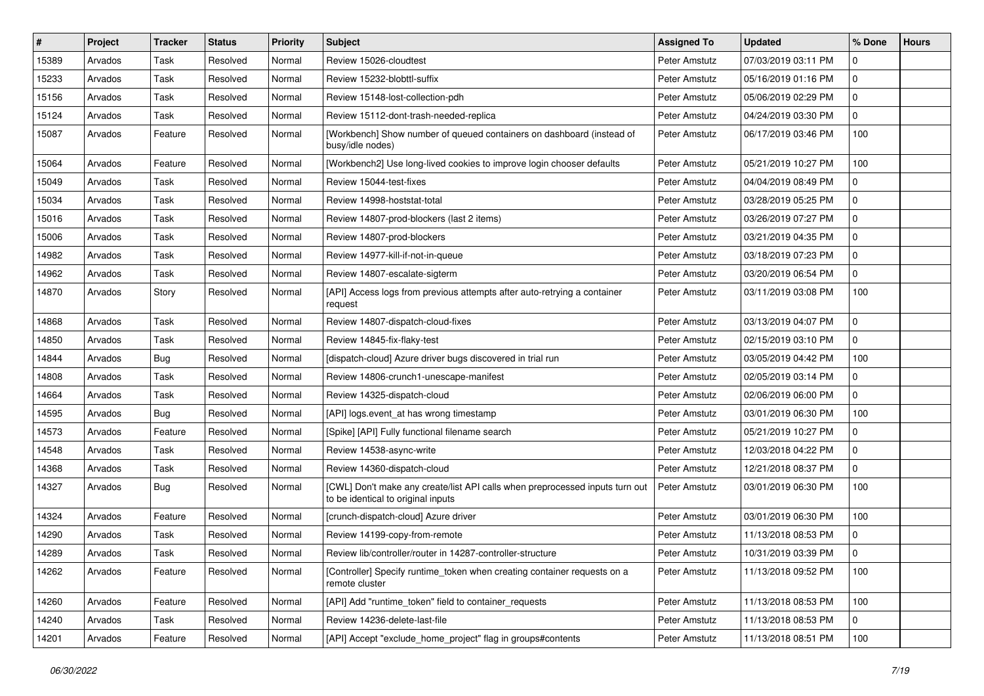| #     | Project | <b>Tracker</b> | <b>Status</b> | <b>Priority</b> | <b>Subject</b>                                                                                                     | <b>Assigned To</b> | <b>Updated</b>      | % Done         | <b>Hours</b> |
|-------|---------|----------------|---------------|-----------------|--------------------------------------------------------------------------------------------------------------------|--------------------|---------------------|----------------|--------------|
| 15389 | Arvados | Task           | Resolved      | Normal          | Review 15026-cloudtest                                                                                             | Peter Amstutz      | 07/03/2019 03:11 PM | 0              |              |
| 15233 | Arvados | Task           | Resolved      | Normal          | Review 15232-blobttl-suffix                                                                                        | Peter Amstutz      | 05/16/2019 01:16 PM | 0              |              |
| 15156 | Arvados | Task           | Resolved      | Normal          | Review 15148-lost-collection-pdh                                                                                   | Peter Amstutz      | 05/06/2019 02:29 PM | $\mathbf{0}$   |              |
| 15124 | Arvados | Task           | Resolved      | Normal          | Review 15112-dont-trash-needed-replica                                                                             | Peter Amstutz      | 04/24/2019 03:30 PM | 0              |              |
| 15087 | Arvados | Feature        | Resolved      | Normal          | [Workbench] Show number of queued containers on dashboard (instead of<br>busy/idle nodes)                          | Peter Amstutz      | 06/17/2019 03:46 PM | 100            |              |
| 15064 | Arvados | Feature        | Resolved      | Normal          | [Workbench2] Use long-lived cookies to improve login chooser defaults                                              | Peter Amstutz      | 05/21/2019 10:27 PM | 100            |              |
| 15049 | Arvados | Task           | Resolved      | Normal          | Review 15044-test-fixes                                                                                            | Peter Amstutz      | 04/04/2019 08:49 PM | 0              |              |
| 15034 | Arvados | Task           | Resolved      | Normal          | Review 14998-hoststat-total                                                                                        | Peter Amstutz      | 03/28/2019 05:25 PM | 0              |              |
| 15016 | Arvados | Task           | Resolved      | Normal          | Review 14807-prod-blockers (last 2 items)                                                                          | Peter Amstutz      | 03/26/2019 07:27 PM | 0              |              |
| 15006 | Arvados | Task           | Resolved      | Normal          | Review 14807-prod-blockers                                                                                         | Peter Amstutz      | 03/21/2019 04:35 PM | 0              |              |
| 14982 | Arvados | Task           | Resolved      | Normal          | Review 14977-kill-if-not-in-queue                                                                                  | Peter Amstutz      | 03/18/2019 07:23 PM | 0              |              |
| 14962 | Arvados | Task           | Resolved      | Normal          | Review 14807-escalate-sigterm                                                                                      | Peter Amstutz      | 03/20/2019 06:54 PM | 0              |              |
| 14870 | Arvados | Story          | Resolved      | Normal          | [API] Access logs from previous attempts after auto-retrying a container<br>request                                | Peter Amstutz      | 03/11/2019 03:08 PM | 100            |              |
| 14868 | Arvados | Task           | Resolved      | Normal          | Review 14807-dispatch-cloud-fixes                                                                                  | Peter Amstutz      | 03/13/2019 04:07 PM | $\mathbf{0}$   |              |
| 14850 | Arvados | Task           | Resolved      | Normal          | Review 14845-fix-flaky-test                                                                                        | Peter Amstutz      | 02/15/2019 03:10 PM | 0              |              |
| 14844 | Arvados | <b>Bug</b>     | Resolved      | Normal          | [dispatch-cloud] Azure driver bugs discovered in trial run                                                         | Peter Amstutz      | 03/05/2019 04:42 PM | 100            |              |
| 14808 | Arvados | Task           | Resolved      | Normal          | Review 14806-crunch1-unescape-manifest                                                                             | Peter Amstutz      | 02/05/2019 03:14 PM | 0              |              |
| 14664 | Arvados | Task           | Resolved      | Normal          | Review 14325-dispatch-cloud                                                                                        | Peter Amstutz      | 02/06/2019 06:00 PM | $\mathbf 0$    |              |
| 14595 | Arvados | <b>Bug</b>     | Resolved      | Normal          | [API] logs.event_at has wrong timestamp                                                                            | Peter Amstutz      | 03/01/2019 06:30 PM | 100            |              |
| 14573 | Arvados | Feature        | Resolved      | Normal          | [Spike] [API] Fully functional filename search                                                                     | Peter Amstutz      | 05/21/2019 10:27 PM | 0              |              |
| 14548 | Arvados | Task           | Resolved      | Normal          | Review 14538-async-write                                                                                           | Peter Amstutz      | 12/03/2018 04:22 PM | 0              |              |
| 14368 | Arvados | Task           | Resolved      | Normal          | Review 14360-dispatch-cloud                                                                                        | Peter Amstutz      | 12/21/2018 08:37 PM | 0              |              |
| 14327 | Arvados | <b>Bug</b>     | Resolved      | Normal          | [CWL] Don't make any create/list API calls when preprocessed inputs turn out<br>to be identical to original inputs | Peter Amstutz      | 03/01/2019 06:30 PM | 100            |              |
| 14324 | Arvados | Feature        | Resolved      | Normal          | [crunch-dispatch-cloud] Azure driver                                                                               | Peter Amstutz      | 03/01/2019 06:30 PM | 100            |              |
| 14290 | Arvados | Task           | Resolved      | Normal          | Review 14199-copy-from-remote                                                                                      | Peter Amstutz      | 11/13/2018 08:53 PM | 0              |              |
| 14289 | Arvados | Task           | Resolved      | Normal          | Review lib/controller/router in 14287-controller-structure                                                         | Peter Amstutz      | 10/31/2019 03:39 PM | $\overline{0}$ |              |
| 14262 | Arvados | Feature        | Resolved      | Normal          | [Controller] Specify runtime token when creating container requests on a<br>remote cluster                         | Peter Amstutz      | 11/13/2018 09:52 PM | 100            |              |
| 14260 | Arvados | Feature        | Resolved      | Normal          | [API] Add "runtime token" field to container requests                                                              | Peter Amstutz      | 11/13/2018 08:53 PM | 100            |              |
| 14240 | Arvados | Task           | Resolved      | Normal          | Review 14236-delete-last-file                                                                                      | Peter Amstutz      | 11/13/2018 08:53 PM | 0              |              |
| 14201 | Arvados | Feature        | Resolved      | Normal          | [API] Accept "exclude_home_project" flag in groups#contents                                                        | Peter Amstutz      | 11/13/2018 08:51 PM | 100            |              |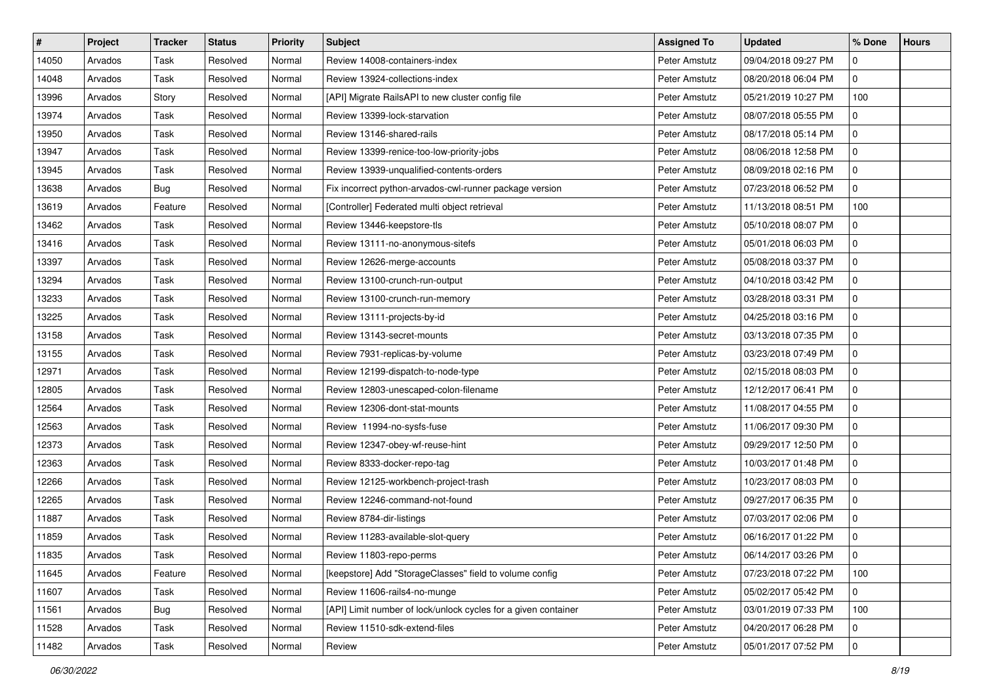| $\#$  | Project | Tracker | <b>Status</b> | <b>Priority</b> | <b>Subject</b>                                                 | <b>Assigned To</b> | <b>Updated</b>      | % Done       | <b>Hours</b> |
|-------|---------|---------|---------------|-----------------|----------------------------------------------------------------|--------------------|---------------------|--------------|--------------|
| 14050 | Arvados | Task    | Resolved      | Normal          | Review 14008-containers-index                                  | Peter Amstutz      | 09/04/2018 09:27 PM | 0            |              |
| 14048 | Arvados | Task    | Resolved      | Normal          | Review 13924-collections-index                                 | Peter Amstutz      | 08/20/2018 06:04 PM | 0            |              |
| 13996 | Arvados | Story   | Resolved      | Normal          | [API] Migrate RailsAPI to new cluster config file              | Peter Amstutz      | 05/21/2019 10:27 PM | 100          |              |
| 13974 | Arvados | Task    | Resolved      | Normal          | Review 13399-lock-starvation                                   | Peter Amstutz      | 08/07/2018 05:55 PM | 0            |              |
| 13950 | Arvados | Task    | Resolved      | Normal          | Review 13146-shared-rails                                      | Peter Amstutz      | 08/17/2018 05:14 PM | 0            |              |
| 13947 | Arvados | Task    | Resolved      | Normal          | Review 13399-renice-too-low-priority-jobs                      | Peter Amstutz      | 08/06/2018 12:58 PM | 0            |              |
| 13945 | Arvados | Task    | Resolved      | Normal          | Review 13939-unqualified-contents-orders                       | Peter Amstutz      | 08/09/2018 02:16 PM | 0            |              |
| 13638 | Arvados | Bug     | Resolved      | Normal          | Fix incorrect python-arvados-cwl-runner package version        | Peter Amstutz      | 07/23/2018 06:52 PM | $\mathbf{0}$ |              |
| 13619 | Arvados | Feature | Resolved      | Normal          | [Controller] Federated multi object retrieval                  | Peter Amstutz      | 11/13/2018 08:51 PM | 100          |              |
| 13462 | Arvados | Task    | Resolved      | Normal          | Review 13446-keepstore-tls                                     | Peter Amstutz      | 05/10/2018 08:07 PM | 0            |              |
| 13416 | Arvados | Task    | Resolved      | Normal          | Review 13111-no-anonymous-sitefs                               | Peter Amstutz      | 05/01/2018 06:03 PM | 0            |              |
| 13397 | Arvados | Task    | Resolved      | Normal          | Review 12626-merge-accounts                                    | Peter Amstutz      | 05/08/2018 03:37 PM | 0            |              |
| 13294 | Arvados | Task    | Resolved      | Normal          | Review 13100-crunch-run-output                                 | Peter Amstutz      | 04/10/2018 03:42 PM | 0            |              |
| 13233 | Arvados | Task    | Resolved      | Normal          | Review 13100-crunch-run-memory                                 | Peter Amstutz      | 03/28/2018 03:31 PM | $\mathbf{0}$ |              |
| 13225 | Arvados | Task    | Resolved      | Normal          | Review 13111-projects-by-id                                    | Peter Amstutz      | 04/25/2018 03:16 PM | 0            |              |
| 13158 | Arvados | Task    | Resolved      | Normal          | Review 13143-secret-mounts                                     | Peter Amstutz      | 03/13/2018 07:35 PM | $\mathbf{0}$ |              |
| 13155 | Arvados | Task    | Resolved      | Normal          | Review 7931-replicas-by-volume                                 | Peter Amstutz      | 03/23/2018 07:49 PM | 0            |              |
| 12971 | Arvados | Task    | Resolved      | Normal          | Review 12199-dispatch-to-node-type                             | Peter Amstutz      | 02/15/2018 08:03 PM | 0            |              |
| 12805 | Arvados | Task    | Resolved      | Normal          | Review 12803-unescaped-colon-filename                          | Peter Amstutz      | 12/12/2017 06:41 PM | 0            |              |
| 12564 | Arvados | Task    | Resolved      | Normal          | Review 12306-dont-stat-mounts                                  | Peter Amstutz      | 11/08/2017 04:55 PM | $\mathbf{0}$ |              |
| 12563 | Arvados | Task    | Resolved      | Normal          | Review 11994-no-sysfs-fuse                                     | Peter Amstutz      | 11/06/2017 09:30 PM | $\mathbf{0}$ |              |
| 12373 | Arvados | Task    | Resolved      | Normal          | Review 12347-obey-wf-reuse-hint                                | Peter Amstutz      | 09/29/2017 12:50 PM | 0            |              |
| 12363 | Arvados | Task    | Resolved      | Normal          | Review 8333-docker-repo-tag                                    | Peter Amstutz      | 10/03/2017 01:48 PM | $\mathbf{0}$ |              |
| 12266 | Arvados | Task    | Resolved      | Normal          | Review 12125-workbench-project-trash                           | Peter Amstutz      | 10/23/2017 08:03 PM | 0            |              |
| 12265 | Arvados | Task    | Resolved      | Normal          | Review 12246-command-not-found                                 | Peter Amstutz      | 09/27/2017 06:35 PM | $\mathbf 0$  |              |
| 11887 | Arvados | Task    | Resolved      | Normal          | Review 8784-dir-listings                                       | Peter Amstutz      | 07/03/2017 02:06 PM | 0            |              |
| 11859 | Arvados | Task    | Resolved      | Normal          | Review 11283-available-slot-query                              | Peter Amstutz      | 06/16/2017 01:22 PM | $\mathbf{0}$ |              |
| 11835 | Arvados | Task    | Resolved      | Normal          | Review 11803-repo-perms                                        | Peter Amstutz      | 06/14/2017 03:26 PM | 0            |              |
| 11645 | Arvados | Feature | Resolved      | Normal          | [keepstore] Add "StorageClasses" field to volume config        | Peter Amstutz      | 07/23/2018 07:22 PM | 100          |              |
| 11607 | Arvados | Task    | Resolved      | Normal          | Review 11606-rails4-no-munge                                   | Peter Amstutz      | 05/02/2017 05:42 PM | 0            |              |
| 11561 | Arvados | Bug     | Resolved      | Normal          | [API] Limit number of lock/unlock cycles for a given container | Peter Amstutz      | 03/01/2019 07:33 PM | 100          |              |
| 11528 | Arvados | Task    | Resolved      | Normal          | Review 11510-sdk-extend-files                                  | Peter Amstutz      | 04/20/2017 06:28 PM | 0            |              |
| 11482 | Arvados | Task    | Resolved      | Normal          | Review                                                         | Peter Amstutz      | 05/01/2017 07:52 PM | 0            |              |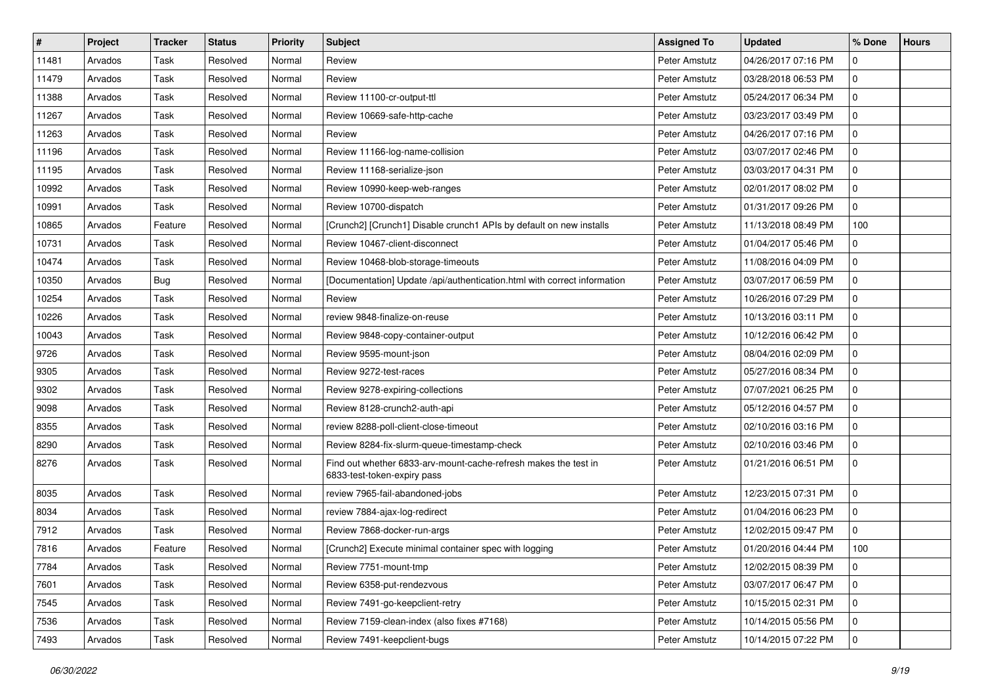| $\vert$ # | Project | <b>Tracker</b> | <b>Status</b> | <b>Priority</b> | <b>Subject</b>                                                                                 | <b>Assigned To</b> | <b>Updated</b>      | % Done       | <b>Hours</b> |
|-----------|---------|----------------|---------------|-----------------|------------------------------------------------------------------------------------------------|--------------------|---------------------|--------------|--------------|
| 11481     | Arvados | Task           | Resolved      | Normal          | Review                                                                                         | Peter Amstutz      | 04/26/2017 07:16 PM | 0            |              |
| 11479     | Arvados | Task           | Resolved      | Normal          | Review                                                                                         | Peter Amstutz      | 03/28/2018 06:53 PM | 0            |              |
| 11388     | Arvados | Task           | Resolved      | Normal          | Review 11100-cr-output-ttl                                                                     | Peter Amstutz      | 05/24/2017 06:34 PM | 0            |              |
| 11267     | Arvados | Task           | Resolved      | Normal          | Review 10669-safe-http-cache                                                                   | Peter Amstutz      | 03/23/2017 03:49 PM | 0            |              |
| 11263     | Arvados | Task           | Resolved      | Normal          | Review                                                                                         | Peter Amstutz      | 04/26/2017 07:16 PM | 0            |              |
| 11196     | Arvados | Task           | Resolved      | Normal          | Review 11166-log-name-collision                                                                | Peter Amstutz      | 03/07/2017 02:46 PM | 0            |              |
| 11195     | Arvados | Task           | Resolved      | Normal          | Review 11168-serialize-json                                                                    | Peter Amstutz      | 03/03/2017 04:31 PM | 0            |              |
| 10992     | Arvados | Task           | Resolved      | Normal          | Review 10990-keep-web-ranges                                                                   | Peter Amstutz      | 02/01/2017 08:02 PM | $\mathbf 0$  |              |
| 10991     | Arvados | Task           | Resolved      | Normal          | Review 10700-dispatch                                                                          | Peter Amstutz      | 01/31/2017 09:26 PM | 0            |              |
| 10865     | Arvados | Feature        | Resolved      | Normal          | [Crunch2] [Crunch1] Disable crunch1 APIs by default on new installs                            | Peter Amstutz      | 11/13/2018 08:49 PM | 100          |              |
| 10731     | Arvados | Task           | Resolved      | Normal          | Review 10467-client-disconnect                                                                 | Peter Amstutz      | 01/04/2017 05:46 PM | 0            |              |
| 10474     | Arvados | Task           | Resolved      | Normal          | Review 10468-blob-storage-timeouts                                                             | Peter Amstutz      | 11/08/2016 04:09 PM | 0            |              |
| 10350     | Arvados | <b>Bug</b>     | Resolved      | Normal          | [Documentation] Update /api/authentication.html with correct information                       | Peter Amstutz      | 03/07/2017 06:59 PM | 0            |              |
| 10254     | Arvados | Task           | Resolved      | Normal          | Review                                                                                         | Peter Amstutz      | 10/26/2016 07:29 PM | $\mathbf{0}$ |              |
| 10226     | Arvados | Task           | Resolved      | Normal          | review 9848-finalize-on-reuse                                                                  | Peter Amstutz      | 10/13/2016 03:11 PM | 0            |              |
| 10043     | Arvados | Task           | Resolved      | Normal          | Review 9848-copy-container-output                                                              | Peter Amstutz      | 10/12/2016 06:42 PM | 0            |              |
| 9726      | Arvados | Task           | Resolved      | Normal          | Review 9595-mount-json                                                                         | Peter Amstutz      | 08/04/2016 02:09 PM | 0            |              |
| 9305      | Arvados | Task           | Resolved      | Normal          | Review 9272-test-races                                                                         | Peter Amstutz      | 05/27/2016 08:34 PM | 0            |              |
| 9302      | Arvados | Task           | Resolved      | Normal          | Review 9278-expiring-collections                                                               | Peter Amstutz      | 07/07/2021 06:25 PM | 0            |              |
| 9098      | Arvados | Task           | Resolved      | Normal          | Review 8128-crunch2-auth-api                                                                   | Peter Amstutz      | 05/12/2016 04:57 PM | 0            |              |
| 8355      | Arvados | Task           | Resolved      | Normal          | review 8288-poll-client-close-timeout                                                          | Peter Amstutz      | 02/10/2016 03:16 PM | 0            |              |
| 8290      | Arvados | Task           | Resolved      | Normal          | Review 8284-fix-slurm-queue-timestamp-check                                                    | Peter Amstutz      | 02/10/2016 03:46 PM | 0            |              |
| 8276      | Arvados | Task           | Resolved      | Normal          | Find out whether 6833-arv-mount-cache-refresh makes the test in<br>6833-test-token-expiry pass | Peter Amstutz      | 01/21/2016 06:51 PM | $\mathbf{0}$ |              |
| 8035      | Arvados | Task           | Resolved      | Normal          | review 7965-fail-abandoned-jobs                                                                | Peter Amstutz      | 12/23/2015 07:31 PM | $\mathbf 0$  |              |
| 8034      | Arvados | Task           | Resolved      | Normal          | review 7884-ajax-log-redirect                                                                  | Peter Amstutz      | 01/04/2016 06:23 PM | 0            |              |
| 7912      | Arvados | Task           | Resolved      | Normal          | Review 7868-docker-run-args                                                                    | Peter Amstutz      | 12/02/2015 09:47 PM | 0            |              |
| 7816      | Arvados | Feature        | Resolved      | Normal          | [Crunch2] Execute minimal container spec with logging                                          | Peter Amstutz      | 01/20/2016 04:44 PM | 100          |              |
| 7784      | Arvados | Task           | Resolved      | Normal          | Review 7751-mount-tmp                                                                          | Peter Amstutz      | 12/02/2015 08:39 PM | $\mathbf 0$  |              |
| 7601      | Arvados | Task           | Resolved      | Normal          | Review 6358-put-rendezvous                                                                     | Peter Amstutz      | 03/07/2017 06:47 PM | 0            |              |
| 7545      | Arvados | Task           | Resolved      | Normal          | Review 7491-go-keepclient-retry                                                                | Peter Amstutz      | 10/15/2015 02:31 PM | $\mathbf 0$  |              |
| 7536      | Arvados | Task           | Resolved      | Normal          | Review 7159-clean-index (also fixes #7168)                                                     | Peter Amstutz      | 10/14/2015 05:56 PM | 0            |              |
| 7493      | Arvados | Task           | Resolved      | Normal          | Review 7491-keepclient-bugs                                                                    | Peter Amstutz      | 10/14/2015 07:22 PM | $\mathbf{0}$ |              |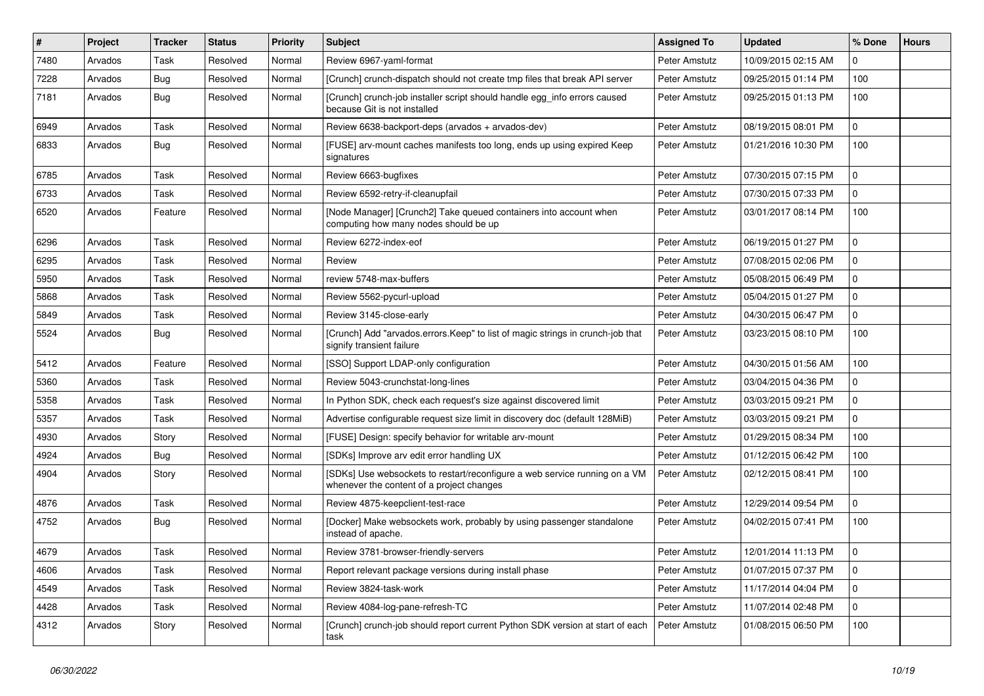| $\sharp$ | Project | Tracker    | <b>Status</b> | <b>Priority</b> | <b>Subject</b>                                                                                                          | <b>Assigned To</b> | <b>Updated</b>      | % Done       | <b>Hours</b> |
|----------|---------|------------|---------------|-----------------|-------------------------------------------------------------------------------------------------------------------------|--------------------|---------------------|--------------|--------------|
| 7480     | Arvados | Task       | Resolved      | Normal          | Review 6967-yaml-format                                                                                                 | Peter Amstutz      | 10/09/2015 02:15 AM | 0            |              |
| 7228     | Arvados | Bug        | Resolved      | Normal          | [Crunch] crunch-dispatch should not create tmp files that break API server                                              | Peter Amstutz      | 09/25/2015 01:14 PM | 100          |              |
| 7181     | Arvados | Bug        | Resolved      | Normal          | [Crunch] crunch-job installer script should handle egg_info errors caused<br>because Git is not installed               | Peter Amstutz      | 09/25/2015 01:13 PM | 100          |              |
| 6949     | Arvados | Task       | Resolved      | Normal          | Review 6638-backport-deps (arvados + arvados-dev)                                                                       | Peter Amstutz      | 08/19/2015 08:01 PM | 0            |              |
| 6833     | Arvados | <b>Bug</b> | Resolved      | Normal          | [FUSE] arv-mount caches manifests too long, ends up using expired Keep<br>signatures                                    | Peter Amstutz      | 01/21/2016 10:30 PM | 100          |              |
| 6785     | Arvados | Task       | Resolved      | Normal          | Review 6663-bugfixes                                                                                                    | Peter Amstutz      | 07/30/2015 07:15 PM | 0            |              |
| 6733     | Arvados | Task       | Resolved      | Normal          | Review 6592-retry-if-cleanupfail                                                                                        | Peter Amstutz      | 07/30/2015 07:33 PM | 0            |              |
| 6520     | Arvados | Feature    | Resolved      | Normal          | [Node Manager] [Crunch2] Take queued containers into account when<br>computing how many nodes should be up              | Peter Amstutz      | 03/01/2017 08:14 PM | 100          |              |
| 6296     | Arvados | Task       | Resolved      | Normal          | Review 6272-index-eof                                                                                                   | Peter Amstutz      | 06/19/2015 01:27 PM | 0            |              |
| 6295     | Arvados | Task       | Resolved      | Normal          | Review                                                                                                                  | Peter Amstutz      | 07/08/2015 02:06 PM | $\mathbf{0}$ |              |
| 5950     | Arvados | Task       | Resolved      | Normal          | review 5748-max-buffers                                                                                                 | Peter Amstutz      | 05/08/2015 06:49 PM | 0            |              |
| 5868     | Arvados | Task       | Resolved      | Normal          | Review 5562-pycurl-upload                                                                                               | Peter Amstutz      | 05/04/2015 01:27 PM | $\mathbf 0$  |              |
| 5849     | Arvados | Task       | Resolved      | Normal          | Review 3145-close-early                                                                                                 | Peter Amstutz      | 04/30/2015 06:47 PM | $\mathbf{0}$ |              |
| 5524     | Arvados | Bug        | Resolved      | Normal          | [Crunch] Add "arvados.errors.Keep" to list of magic strings in crunch-job that<br>signify transient failure             | Peter Amstutz      | 03/23/2015 08:10 PM | 100          |              |
| 5412     | Arvados | Feature    | Resolved      | Normal          | [SSO] Support LDAP-only configuration                                                                                   | Peter Amstutz      | 04/30/2015 01:56 AM | 100          |              |
| 5360     | Arvados | Task       | Resolved      | Normal          | Review 5043-crunchstat-long-lines                                                                                       | Peter Amstutz      | 03/04/2015 04:36 PM | 0            |              |
| 5358     | Arvados | Task       | Resolved      | Normal          | In Python SDK, check each request's size against discovered limit                                                       | Peter Amstutz      | 03/03/2015 09:21 PM | 0            |              |
| 5357     | Arvados | Task       | Resolved      | Normal          | Advertise configurable request size limit in discovery doc (default 128MiB)                                             | Peter Amstutz      | 03/03/2015 09:21 PM | 0            |              |
| 4930     | Arvados | Story      | Resolved      | Normal          | [FUSE] Design: specify behavior for writable arv-mount                                                                  | Peter Amstutz      | 01/29/2015 08:34 PM | 100          |              |
| 4924     | Arvados | Bug        | Resolved      | Normal          | [SDKs] Improve arv edit error handling UX                                                                               | Peter Amstutz      | 01/12/2015 06:42 PM | 100          |              |
| 4904     | Arvados | Story      | Resolved      | Normal          | [SDKs] Use websockets to restart/reconfigure a web service running on a VM<br>whenever the content of a project changes | Peter Amstutz      | 02/12/2015 08:41 PM | 100          |              |
| 4876     | Arvados | Task       | Resolved      | Normal          | Review 4875-keepclient-test-race                                                                                        | Peter Amstutz      | 12/29/2014 09:54 PM | 0            |              |
| 4752     | Arvados | Bug        | Resolved      | Normal          | [Docker] Make websockets work, probably by using passenger standalone<br>instead of apache.                             | Peter Amstutz      | 04/02/2015 07:41 PM | 100          |              |
| 4679     | Arvados | Task       | Resolved      | Normal          | Review 3781-browser-friendly-servers                                                                                    | Peter Amstutz      | 12/01/2014 11:13 PM | $\mathbf 0$  |              |
| 4606     | Arvados | Task       | Resolved      | Normal          | Report relevant package versions during install phase                                                                   | Peter Amstutz      | 01/07/2015 07:37 PM | $\mathbf 0$  |              |
| 4549     | Arvados | Task       | Resolved      | Normal          | Review 3824-task-work                                                                                                   | Peter Amstutz      | 11/17/2014 04:04 PM | $\mathbf 0$  |              |
| 4428     | Arvados | Task       | Resolved      | Normal          | Review 4084-log-pane-refresh-TC                                                                                         | Peter Amstutz      | 11/07/2014 02:48 PM | 0            |              |
| 4312     | Arvados | Story      | Resolved      | Normal          | [Crunch] crunch-job should report current Python SDK version at start of each<br>task                                   | Peter Amstutz      | 01/08/2015 06:50 PM | 100          |              |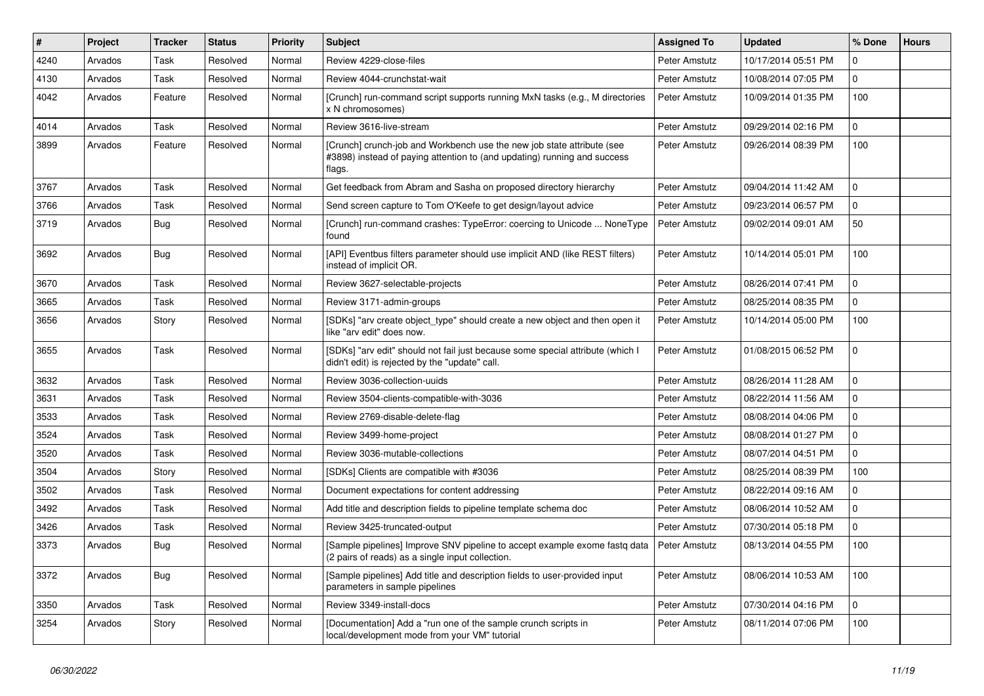| $\vert$ # | Project | <b>Tracker</b> | <b>Status</b> | Priority | <b>Subject</b>                                                                                                                                               | <b>Assigned To</b> | <b>Updated</b>      | % Done         | <b>Hours</b> |
|-----------|---------|----------------|---------------|----------|--------------------------------------------------------------------------------------------------------------------------------------------------------------|--------------------|---------------------|----------------|--------------|
| 4240      | Arvados | Task           | Resolved      | Normal   | Review 4229-close-files                                                                                                                                      | Peter Amstutz      | 10/17/2014 05:51 PM | 0              |              |
| 4130      | Arvados | Task           | Resolved      | Normal   | Review 4044-crunchstat-wait                                                                                                                                  | Peter Amstutz      | 10/08/2014 07:05 PM | 0              |              |
| 4042      | Arvados | Feature        | Resolved      | Normal   | [Crunch] run-command script supports running MxN tasks (e.g., M directories<br>x N chromosomes)                                                              | Peter Amstutz      | 10/09/2014 01:35 PM | 100            |              |
| 4014      | Arvados | Task           | Resolved      | Normal   | Review 3616-live-stream                                                                                                                                      | Peter Amstutz      | 09/29/2014 02:16 PM | $\overline{0}$ |              |
| 3899      | Arvados | Feature        | Resolved      | Normal   | [Crunch] crunch-job and Workbench use the new job state attribute (see<br>#3898) instead of paying attention to (and updating) running and success<br>flags. | Peter Amstutz      | 09/26/2014 08:39 PM | 100            |              |
| 3767      | Arvados | Task           | Resolved      | Normal   | Get feedback from Abram and Sasha on proposed directory hierarchy                                                                                            | Peter Amstutz      | 09/04/2014 11:42 AM | 0              |              |
| 3766      | Arvados | Task           | Resolved      | Normal   | Send screen capture to Tom O'Keefe to get design/layout advice                                                                                               | Peter Amstutz      | 09/23/2014 06:57 PM | $\mathbf{0}$   |              |
| 3719      | Arvados | <b>Bug</b>     | Resolved      | Normal   | [Crunch] run-command crashes: TypeError: coercing to Unicode  NoneType<br>found                                                                              | Peter Amstutz      | 09/02/2014 09:01 AM | 50             |              |
| 3692      | Arvados | Bug            | Resolved      | Normal   | [API] Eventbus filters parameter should use implicit AND (like REST filters)<br>instead of implicit OR.                                                      | Peter Amstutz      | 10/14/2014 05:01 PM | 100            |              |
| 3670      | Arvados | Task           | Resolved      | Normal   | Review 3627-selectable-projects                                                                                                                              | Peter Amstutz      | 08/26/2014 07:41 PM | $\mathbf{0}$   |              |
| 3665      | Arvados | Task           | Resolved      | Normal   | Review 3171-admin-groups                                                                                                                                     | Peter Amstutz      | 08/25/2014 08:35 PM | 0              |              |
| 3656      | Arvados | Story          | Resolved      | Normal   | [SDKs] "arv create object_type" should create a new object and then open it<br>like "arv edit" does now.                                                     | Peter Amstutz      | 10/14/2014 05:00 PM | 100            |              |
| 3655      | Arvados | Task           | Resolved      | Normal   | [SDKs] "arv edit" should not fail just because some special attribute (which I<br>didn't edit) is rejected by the "update" call.                             | Peter Amstutz      | 01/08/2015 06:52 PM | $\Omega$       |              |
| 3632      | Arvados | Task           | Resolved      | Normal   | Review 3036-collection-uuids                                                                                                                                 | Peter Amstutz      | 08/26/2014 11:28 AM | $\mathbf{0}$   |              |
| 3631      | Arvados | Task           | Resolved      | Normal   | Review 3504-clients-compatible-with-3036                                                                                                                     | Peter Amstutz      | 08/22/2014 11:56 AM | $\overline{0}$ |              |
| 3533      | Arvados | Task           | Resolved      | Normal   | Review 2769-disable-delete-flag                                                                                                                              | Peter Amstutz      | 08/08/2014 04:06 PM | $\overline{0}$ |              |
| 3524      | Arvados | Task           | Resolved      | Normal   | Review 3499-home-project                                                                                                                                     | Peter Amstutz      | 08/08/2014 01:27 PM | $\mathbf 0$    |              |
| 3520      | Arvados | Task           | Resolved      | Normal   | Review 3036-mutable-collections                                                                                                                              | Peter Amstutz      | 08/07/2014 04:51 PM | $\overline{0}$ |              |
| 3504      | Arvados | Story          | Resolved      | Normal   | [SDKs] Clients are compatible with #3036                                                                                                                     | Peter Amstutz      | 08/25/2014 08:39 PM | 100            |              |
| 3502      | Arvados | Task           | Resolved      | Normal   | Document expectations for content addressing                                                                                                                 | Peter Amstutz      | 08/22/2014 09:16 AM | 0              |              |
| 3492      | Arvados | Task           | Resolved      | Normal   | Add title and description fields to pipeline template schema doc                                                                                             | Peter Amstutz      | 08/06/2014 10:52 AM | $\mathbf 0$    |              |
| 3426      | Arvados | Task           | Resolved      | Normal   | Review 3425-truncated-output                                                                                                                                 | Peter Amstutz      | 07/30/2014 05:18 PM | $\overline{0}$ |              |
| 3373      | Arvados | <b>Bug</b>     | Resolved      | Normal   | [Sample pipelines] Improve SNV pipeline to accept example exome fastq data<br>(2 pairs of reads) as a single input collection.                               | Peter Amstutz      | 08/13/2014 04:55 PM | 100            |              |
| 3372      | Arvados | <b>Bug</b>     | Resolved      | Normal   | [Sample pipelines] Add title and description fields to user-provided input<br>parameters in sample pipelines                                                 | Peter Amstutz      | 08/06/2014 10:53 AM | 100            |              |
| 3350      | Arvados | Task           | Resolved      | Normal   | Review 3349-install-docs                                                                                                                                     | Peter Amstutz      | 07/30/2014 04:16 PM | $\Omega$       |              |
| 3254      | Arvados | Story          | Resolved      | Normal   | [Documentation] Add a "run one of the sample crunch scripts in<br>local/development mode from your VM" tutorial                                              | Peter Amstutz      | 08/11/2014 07:06 PM | 100            |              |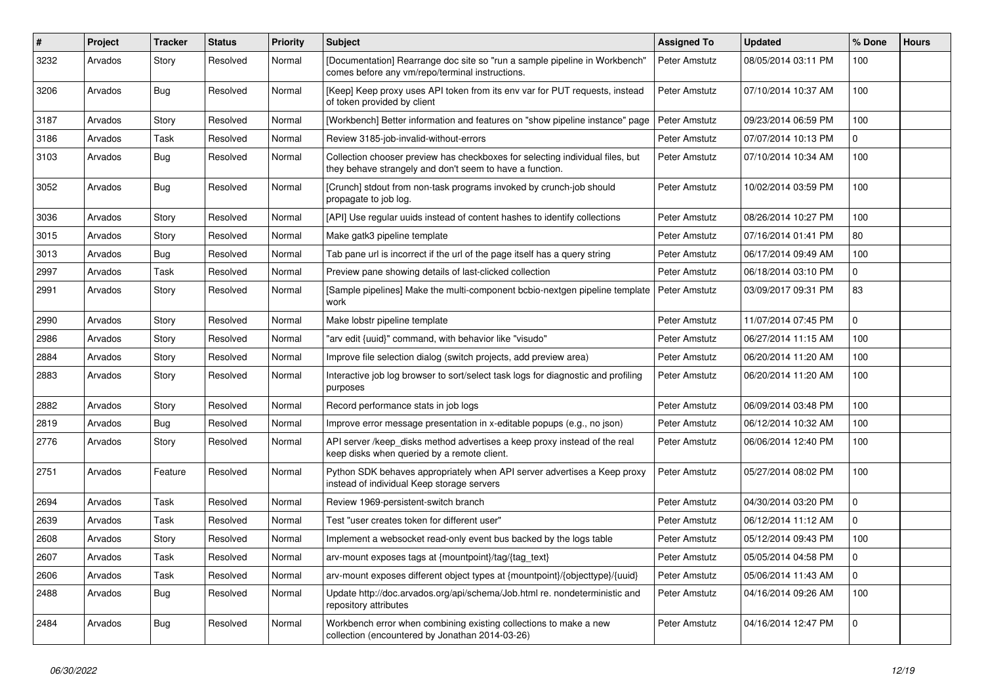| $\#$ | Project | <b>Tracker</b> | <b>Status</b> | <b>Priority</b> | <b>Subject</b>                                                                                                                            | <b>Assigned To</b> | <b>Updated</b>      | % Done         | <b>Hours</b> |
|------|---------|----------------|---------------|-----------------|-------------------------------------------------------------------------------------------------------------------------------------------|--------------------|---------------------|----------------|--------------|
| 3232 | Arvados | Story          | Resolved      | Normal          | [Documentation] Rearrange doc site so "run a sample pipeline in Workbench"<br>comes before any vm/repo/terminal instructions.             | Peter Amstutz      | 08/05/2014 03:11 PM | 100            |              |
| 3206 | Arvados | <b>Bug</b>     | Resolved      | Normal          | [Keep] Keep proxy uses API token from its env var for PUT requests, instead<br>of token provided by client                                | Peter Amstutz      | 07/10/2014 10:37 AM | 100            |              |
| 3187 | Arvados | Story          | Resolved      | Normal          | [Workbench] Better information and features on "show pipeline instance" page                                                              | Peter Amstutz      | 09/23/2014 06:59 PM | 100            |              |
| 3186 | Arvados | Task           | Resolved      | Normal          | Review 3185-job-invalid-without-errors                                                                                                    | Peter Amstutz      | 07/07/2014 10:13 PM | 0              |              |
| 3103 | Arvados | Bug            | Resolved      | Normal          | Collection chooser preview has checkboxes for selecting individual files, but<br>they behave strangely and don't seem to have a function. | Peter Amstutz      | 07/10/2014 10:34 AM | 100            |              |
| 3052 | Arvados | Bug            | Resolved      | Normal          | [Crunch] stdout from non-task programs invoked by crunch-job should<br>propagate to job log.                                              | Peter Amstutz      | 10/02/2014 03:59 PM | 100            |              |
| 3036 | Arvados | Story          | Resolved      | Normal          | [API] Use regular uuids instead of content hashes to identify collections                                                                 | Peter Amstutz      | 08/26/2014 10:27 PM | 100            |              |
| 3015 | Arvados | Story          | Resolved      | Normal          | Make gatk3 pipeline template                                                                                                              | Peter Amstutz      | 07/16/2014 01:41 PM | 80             |              |
| 3013 | Arvados | Bug            | Resolved      | Normal          | Tab pane url is incorrect if the url of the page itself has a query string                                                                | Peter Amstutz      | 06/17/2014 09:49 AM | 100            |              |
| 2997 | Arvados | Task           | Resolved      | Normal          | Preview pane showing details of last-clicked collection                                                                                   | Peter Amstutz      | 06/18/2014 03:10 PM | 0              |              |
| 2991 | Arvados | Story          | Resolved      | Normal          | [Sample pipelines] Make the multi-component bcbio-nextgen pipeline template<br>work                                                       | Peter Amstutz      | 03/09/2017 09:31 PM | 83             |              |
| 2990 | Arvados | Story          | Resolved      | Normal          | Make lobstr pipeline template                                                                                                             | Peter Amstutz      | 11/07/2014 07:45 PM | $\mathbf 0$    |              |
| 2986 | Arvados | Story          | Resolved      | Normal          | 'arv edit {uuid}" command, with behavior like "visudo"                                                                                    | Peter Amstutz      | 06/27/2014 11:15 AM | 100            |              |
| 2884 | Arvados | Story          | Resolved      | Normal          | Improve file selection dialog (switch projects, add preview area)                                                                         | Peter Amstutz      | 06/20/2014 11:20 AM | 100            |              |
| 2883 | Arvados | Story          | Resolved      | Normal          | Interactive job log browser to sort/select task logs for diagnostic and profiling<br>purposes                                             | Peter Amstutz      | 06/20/2014 11:20 AM | 100            |              |
| 2882 | Arvados | Story          | Resolved      | Normal          | Record performance stats in job logs                                                                                                      | Peter Amstutz      | 06/09/2014 03:48 PM | 100            |              |
| 2819 | Arvados | Bug            | Resolved      | Normal          | Improve error message presentation in x-editable popups (e.g., no json)                                                                   | Peter Amstutz      | 06/12/2014 10:32 AM | 100            |              |
| 2776 | Arvados | Story          | Resolved      | Normal          | API server /keep disks method advertises a keep proxy instead of the real<br>keep disks when queried by a remote client.                  | Peter Amstutz      | 06/06/2014 12:40 PM | 100            |              |
| 2751 | Arvados | Feature        | Resolved      | Normal          | Python SDK behaves appropriately when API server advertises a Keep proxy<br>instead of individual Keep storage servers                    | Peter Amstutz      | 05/27/2014 08:02 PM | 100            |              |
| 2694 | Arvados | Task           | Resolved      | Normal          | Review 1969-persistent-switch branch                                                                                                      | Peter Amstutz      | 04/30/2014 03:20 PM | $\mathbf{0}$   |              |
| 2639 | Arvados | Task           | Resolved      | Normal          | Test "user creates token for different user"                                                                                              | Peter Amstutz      | 06/12/2014 11:12 AM | $\overline{0}$ |              |
| 2608 | Arvados | Story          | Resolved      | Normal          | Implement a websocket read-only event bus backed by the logs table                                                                        | Peter Amstutz      | 05/12/2014 09:43 PM | 100            |              |
| 2607 | Arvados | Task           | Resolved      | Normal          | arv-mount exposes tags at {mountpoint}/tag/{tag text}                                                                                     | Peter Amstutz      | 05/05/2014 04:58 PM | 0              |              |
| 2606 | Arvados | Task           | Resolved      | Normal          | arv-mount exposes different object types at {mountpoint}/{objecttype}/{uuid}                                                              | Peter Amstutz      | 05/06/2014 11:43 AM | $\overline{0}$ |              |
| 2488 | Arvados | <b>Bug</b>     | Resolved      | Normal          | Update http://doc.arvados.org/api/schema/Job.html re. nondeterministic and<br>repository attributes                                       | Peter Amstutz      | 04/16/2014 09:26 AM | 100            |              |
| 2484 | Arvados | <b>Bug</b>     | Resolved      | Normal          | Workbench error when combining existing collections to make a new<br>collection (encountered by Jonathan 2014-03-26)                      | Peter Amstutz      | 04/16/2014 12:47 PM | 0              |              |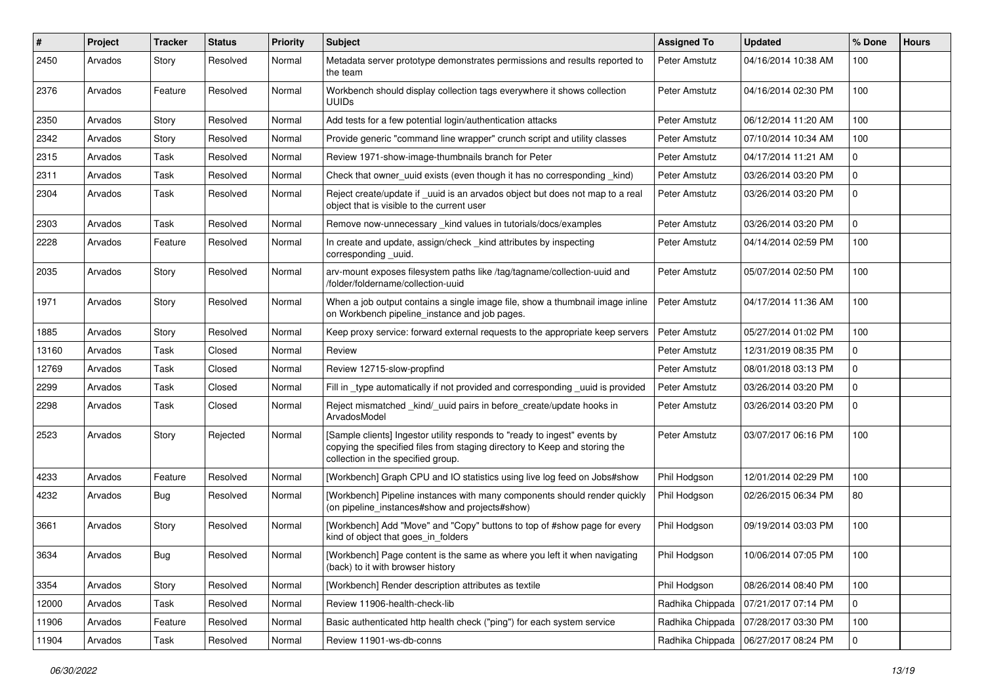| #     | Project | <b>Tracker</b> | <b>Status</b> | <b>Priority</b> | <b>Subject</b>                                                                                                                                                                                | <b>Assigned To</b> | <b>Updated</b>                         | % Done      | <b>Hours</b> |
|-------|---------|----------------|---------------|-----------------|-----------------------------------------------------------------------------------------------------------------------------------------------------------------------------------------------|--------------------|----------------------------------------|-------------|--------------|
| 2450  | Arvados | Story          | Resolved      | Normal          | Metadata server prototype demonstrates permissions and results reported to<br>the team                                                                                                        | Peter Amstutz      | 04/16/2014 10:38 AM                    | 100         |              |
| 2376  | Arvados | Feature        | Resolved      | Normal          | Workbench should display collection tags everywhere it shows collection<br><b>UUIDs</b>                                                                                                       | Peter Amstutz      | 04/16/2014 02:30 PM                    | 100         |              |
| 2350  | Arvados | Story          | Resolved      | Normal          | Add tests for a few potential login/authentication attacks                                                                                                                                    | Peter Amstutz      | 06/12/2014 11:20 AM                    | 100         |              |
| 2342  | Arvados | Story          | Resolved      | Normal          | Provide generic "command line wrapper" crunch script and utility classes                                                                                                                      | Peter Amstutz      | 07/10/2014 10:34 AM                    | 100         |              |
| 2315  | Arvados | Task           | Resolved      | Normal          | Review 1971-show-image-thumbnails branch for Peter                                                                                                                                            | Peter Amstutz      | 04/17/2014 11:21 AM                    | 0           |              |
| 2311  | Arvados | Task           | Resolved      | Normal          | Check that owner_uuid exists (even though it has no corresponding _kind)                                                                                                                      | Peter Amstutz      | 03/26/2014 03:20 PM                    | 0           |              |
| 2304  | Arvados | Task           | Resolved      | Normal          | Reject create/update if _uuid is an arvados object but does not map to a real<br>object that is visible to the current user                                                                   | Peter Amstutz      | 03/26/2014 03:20 PM                    | 0           |              |
| 2303  | Arvados | Task           | Resolved      | Normal          | Remove now-unnecessary kind values in tutorials/docs/examples                                                                                                                                 | Peter Amstutz      | 03/26/2014 03:20 PM                    | 0           |              |
| 2228  | Arvados | Feature        | Resolved      | Normal          | In create and update, assign/check _kind attributes by inspecting<br>corresponding _uuid.                                                                                                     | Peter Amstutz      | 04/14/2014 02:59 PM                    | 100         |              |
| 2035  | Arvados | Story          | Resolved      | Normal          | arv-mount exposes filesystem paths like /tag/tagname/collection-uuid and<br>/folder/foldername/collection-uuid                                                                                | Peter Amstutz      | 05/07/2014 02:50 PM                    | 100         |              |
| 1971  | Arvados | Story          | Resolved      | Normal          | When a job output contains a single image file, show a thumbnail image inline<br>on Workbench pipeline_instance and job pages.                                                                | Peter Amstutz      | 04/17/2014 11:36 AM                    | 100         |              |
| 1885  | Arvados | Story          | Resolved      | Normal          | Keep proxy service: forward external requests to the appropriate keep servers                                                                                                                 | Peter Amstutz      | 05/27/2014 01:02 PM                    | 100         |              |
| 13160 | Arvados | Task           | Closed        | Normal          | Review                                                                                                                                                                                        | Peter Amstutz      | 12/31/2019 08:35 PM                    | 0           |              |
| 12769 | Arvados | Task           | Closed        | Normal          | Review 12715-slow-propfind                                                                                                                                                                    | Peter Amstutz      | 08/01/2018 03:13 PM                    | 0           |              |
| 2299  | Arvados | Task           | Closed        | Normal          | Fill in type automatically if not provided and corresponding uuid is provided                                                                                                                 | Peter Amstutz      | 03/26/2014 03:20 PM                    | 0           |              |
| 2298  | Arvados | Task           | Closed        | Normal          | Reject mismatched kind/ uuid pairs in before create/update hooks in<br>ArvadosModel                                                                                                           | Peter Amstutz      | 03/26/2014 03:20 PM                    | 0           |              |
| 2523  | Arvados | Story          | Rejected      | Normal          | [Sample clients] Ingestor utility responds to "ready to ingest" events by<br>copying the specified files from staging directory to Keep and storing the<br>collection in the specified group. | Peter Amstutz      | 03/07/2017 06:16 PM                    | 100         |              |
| 4233  | Arvados | Feature        | Resolved      | Normal          | [Workbench] Graph CPU and IO statistics using live log feed on Jobs#show                                                                                                                      | Phil Hodgson       | 12/01/2014 02:29 PM                    | 100         |              |
| 4232  | Arvados | Bug            | Resolved      | Normal          | [Workbench] Pipeline instances with many components should render quickly<br>(on pipeline_instances#show and projects#show)                                                                   | Phil Hodgson       | 02/26/2015 06:34 PM                    | 80          |              |
| 3661  | Arvados | Story          | Resolved      | Normal          | [Workbench] Add "Move" and "Copy" buttons to top of #show page for every<br>kind of object that goes_in_folders                                                                               | Phil Hodgson       | 09/19/2014 03:03 PM                    | 100         |              |
| 3634  | Arvados | Bug            | Resolved      | Normal          | [Workbench] Page content is the same as where you left it when navigating<br>(back) to it with browser history                                                                                | Phil Hodgson       | 10/06/2014 07:05 PM                    | 100         |              |
| 3354  | Arvados | Story          | Resolved      | Normal          | [Workbench] Render description attributes as textile                                                                                                                                          | Phil Hodgson       | 08/26/2014 08:40 PM                    | 100         |              |
| 12000 | Arvados | Task           | Resolved      | Normal          | Review 11906-health-check-lib                                                                                                                                                                 | Radhika Chippada   | 07/21/2017 07:14 PM                    | $\mathbf 0$ |              |
| 11906 | Arvados | Feature        | Resolved      | Normal          | Basic authenticated http health check ("ping") for each system service                                                                                                                        | Radhika Chippada   | 07/28/2017 03:30 PM                    | 100         |              |
| 11904 | Arvados | Task           | Resolved      | Normal          | Review 11901-ws-db-conns                                                                                                                                                                      |                    | Radhika Chippada   06/27/2017 08:24 PM | 0           |              |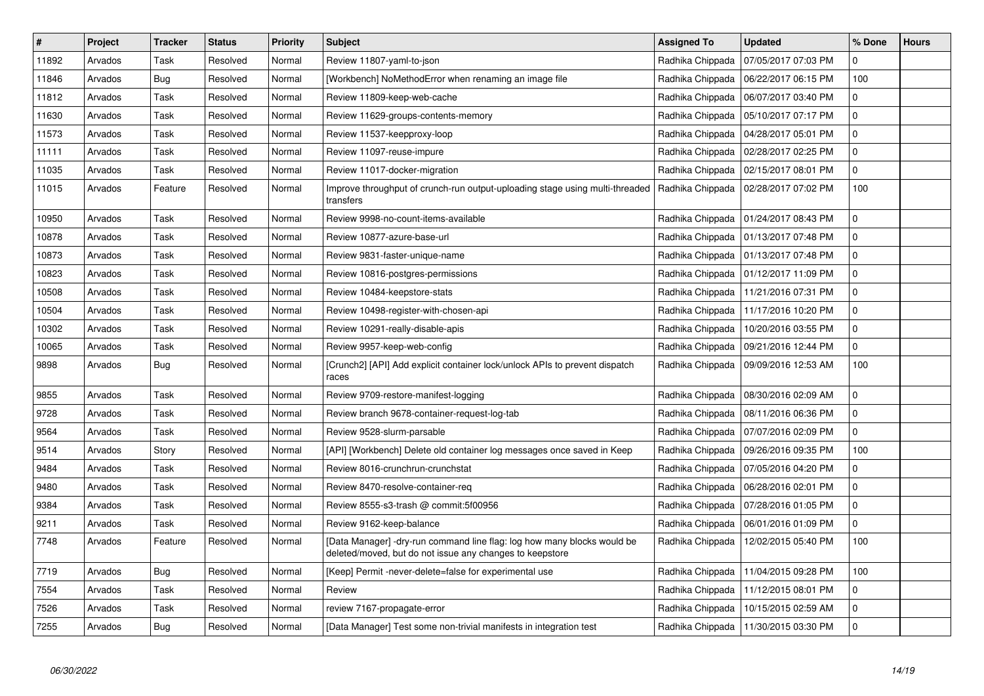| $\vert$ # | Project | <b>Tracker</b> | <b>Status</b> | <b>Priority</b> | <b>Subject</b>                                                                                                                      | <b>Assigned To</b> | <b>Updated</b>                         | % Done       | <b>Hours</b> |
|-----------|---------|----------------|---------------|-----------------|-------------------------------------------------------------------------------------------------------------------------------------|--------------------|----------------------------------------|--------------|--------------|
| 11892     | Arvados | Task           | Resolved      | Normal          | Review 11807-yaml-to-json                                                                                                           | Radhika Chippada   | 07/05/2017 07:03 PM                    | 0            |              |
| 11846     | Arvados | Bug            | Resolved      | Normal          | [Workbench] NoMethodError when renaming an image file                                                                               | Radhika Chippada   | 06/22/2017 06:15 PM                    | 100          |              |
| 11812     | Arvados | Task           | Resolved      | Normal          | Review 11809-keep-web-cache                                                                                                         | Radhika Chippada   | 06/07/2017 03:40 PM                    | 0            |              |
| 11630     | Arvados | Task           | Resolved      | Normal          | Review 11629-groups-contents-memory                                                                                                 | Radhika Chippada   | 05/10/2017 07:17 PM                    | 0            |              |
| 11573     | Arvados | Task           | Resolved      | Normal          | Review 11537-keepproxy-loop                                                                                                         | Radhika Chippada   | 04/28/2017 05:01 PM                    | 0            |              |
| 11111     | Arvados | Task           | Resolved      | Normal          | Review 11097-reuse-impure                                                                                                           | Radhika Chippada   | 02/28/2017 02:25 PM                    | 0            |              |
| 11035     | Arvados | Task           | Resolved      | Normal          | Review 11017-docker-migration                                                                                                       | Radhika Chippada   | 02/15/2017 08:01 PM                    | 0            |              |
| 11015     | Arvados | Feature        | Resolved      | Normal          | Improve throughput of crunch-run output-uploading stage using multi-threaded<br>transfers                                           | Radhika Chippada   | 02/28/2017 07:02 PM                    | 100          |              |
| 10950     | Arvados | Task           | Resolved      | Normal          | Review 9998-no-count-items-available                                                                                                | Radhika Chippada   | 01/24/2017 08:43 PM                    | 0            |              |
| 10878     | Arvados | Task           | Resolved      | Normal          | Review 10877-azure-base-url                                                                                                         | Radhika Chippada   | 01/13/2017 07:48 PM                    | 0            |              |
| 10873     | Arvados | Task           | Resolved      | Normal          | Review 9831-faster-unique-name                                                                                                      | Radhika Chippada   | 01/13/2017 07:48 PM                    | 0            |              |
| 10823     | Arvados | Task           | Resolved      | Normal          | Review 10816-postgres-permissions                                                                                                   | Radhika Chippada   | 01/12/2017 11:09 PM                    | 0            |              |
| 10508     | Arvados | Task           | Resolved      | Normal          | Review 10484-keepstore-stats                                                                                                        | Radhika Chippada   | 11/21/2016 07:31 PM                    | 0            |              |
| 10504     | Arvados | Task           | Resolved      | Normal          | Review 10498-register-with-chosen-api                                                                                               | Radhika Chippada   | 11/17/2016 10:20 PM                    | 0            |              |
| 10302     | Arvados | Task           | Resolved      | Normal          | Review 10291-really-disable-apis                                                                                                    | Radhika Chippada   | 10/20/2016 03:55 PM                    | 0            |              |
| 10065     | Arvados | Task           | Resolved      | Normal          | Review 9957-keep-web-config                                                                                                         | Radhika Chippada   | 09/21/2016 12:44 PM                    | 0            |              |
| 9898      | Arvados | Bug            | Resolved      | Normal          | [Crunch2] [API] Add explicit container lock/unlock APIs to prevent dispatch<br>races                                                | Radhika Chippada   | 09/09/2016 12:53 AM                    | 100          |              |
| 9855      | Arvados | Task           | Resolved      | Normal          | Review 9709-restore-manifest-logging                                                                                                | Radhika Chippada   | 08/30/2016 02:09 AM                    | 0            |              |
| 9728      | Arvados | Task           | Resolved      | Normal          | Review branch 9678-container-request-log-tab                                                                                        | Radhika Chippada   | 08/11/2016 06:36 PM                    | 0            |              |
| 9564      | Arvados | Task           | Resolved      | Normal          | Review 9528-slurm-parsable                                                                                                          | Radhika Chippada   | 07/07/2016 02:09 PM                    | 0            |              |
| 9514      | Arvados | Story          | Resolved      | Normal          | [API] [Workbench] Delete old container log messages once saved in Keep                                                              | Radhika Chippada   | 09/26/2016 09:35 PM                    | 100          |              |
| 9484      | Arvados | Task           | Resolved      | Normal          | Review 8016-crunchrun-crunchstat                                                                                                    | Radhika Chippada   | 07/05/2016 04:20 PM                    | 0            |              |
| 9480      | Arvados | Task           | Resolved      | Normal          | Review 8470-resolve-container-req                                                                                                   | Radhika Chippada   | 06/28/2016 02:01 PM                    | $\mathsf{O}$ |              |
| 9384      | Arvados | Task           | Resolved      | Normal          | Review 8555-s3-trash @ commit:5f00956                                                                                               | Radhika Chippada   | 07/28/2016 01:05 PM                    | 0            |              |
| 9211      | Arvados | Task           | Resolved      | Normal          | Review 9162-keep-balance                                                                                                            | Radhika Chippada   | 06/01/2016 01:09 PM                    | $\Omega$     |              |
| 7748      | Arvados | Feature        | Resolved      | Normal          | [Data Manager] -dry-run command line flag: log how many blocks would be<br>deleted/moved, but do not issue any changes to keepstore | Radhika Chippada   | 12/02/2015 05:40 PM                    | 100          |              |
| 7719      | Arvados | Bug            | Resolved      | Normal          | [Keep] Permit -never-delete=false for experimental use                                                                              | Radhika Chippada   | 11/04/2015 09:28 PM                    | 100          |              |
| 7554      | Arvados | Task           | Resolved      | Normal          | Review                                                                                                                              | Radhika Chippada   | 11/12/2015 08:01 PM                    | 0            |              |
| 7526      | Arvados | Task           | Resolved      | Normal          | review 7167-propagate-error                                                                                                         | Radhika Chippada   | 10/15/2015 02:59 AM                    | 0            |              |
| 7255      | Arvados | Bug            | Resolved      | Normal          | [Data Manager] Test some non-trivial manifests in integration test                                                                  |                    | Radhika Chippada   11/30/2015 03:30 PM | 0            |              |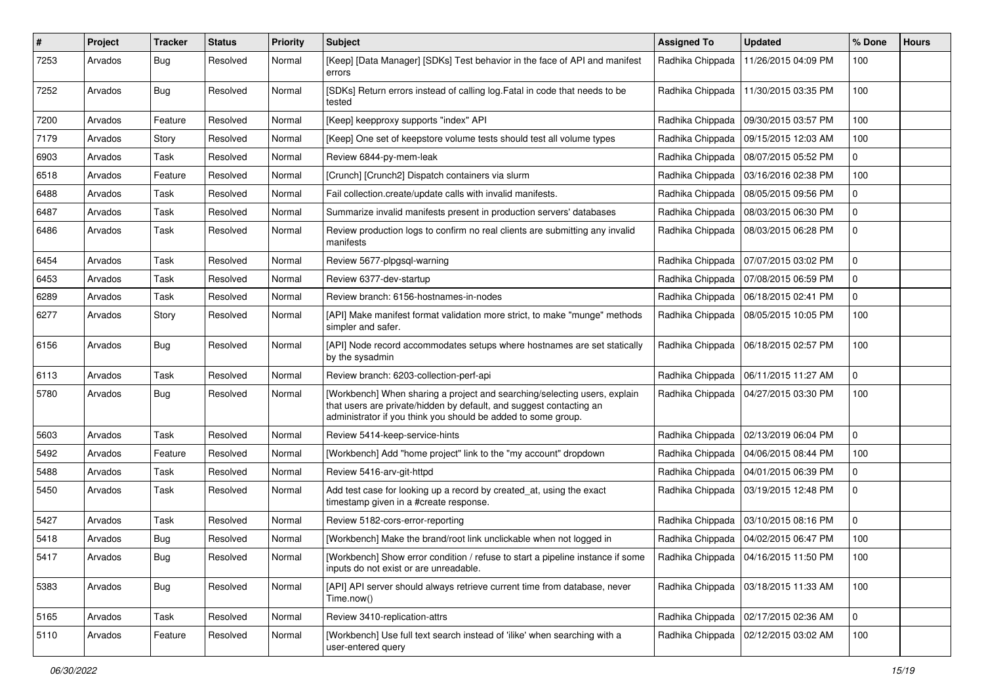| #    | Project | <b>Tracker</b> | <b>Status</b> | <b>Priority</b> | <b>Subject</b>                                                                                                                                                                                                    | <b>Assigned To</b> | <b>Updated</b>      | % Done      | <b>Hours</b> |
|------|---------|----------------|---------------|-----------------|-------------------------------------------------------------------------------------------------------------------------------------------------------------------------------------------------------------------|--------------------|---------------------|-------------|--------------|
| 7253 | Arvados | <b>Bug</b>     | Resolved      | Normal          | [Keep] [Data Manager] [SDKs] Test behavior in the face of API and manifest<br>errors                                                                                                                              | Radhika Chippada   | 11/26/2015 04:09 PM | 100         |              |
| 7252 | Arvados | <b>Bug</b>     | Resolved      | Normal          | [SDKs] Return errors instead of calling log. Fatal in code that needs to be<br>tested                                                                                                                             | Radhika Chippada   | 11/30/2015 03:35 PM | 100         |              |
| 7200 | Arvados | Feature        | Resolved      | Normal          | [Keep] keepproxy supports "index" API                                                                                                                                                                             | Radhika Chippada   | 09/30/2015 03:57 PM | 100         |              |
| 7179 | Arvados | Story          | Resolved      | Normal          | [Keep] One set of keepstore volume tests should test all volume types                                                                                                                                             | Radhika Chippada   | 09/15/2015 12:03 AM | 100         |              |
| 6903 | Arvados | Task           | Resolved      | Normal          | Review 6844-py-mem-leak                                                                                                                                                                                           | Radhika Chippada   | 08/07/2015 05:52 PM | 0           |              |
| 6518 | Arvados | Feature        | Resolved      | Normal          | [Crunch] [Crunch2] Dispatch containers via slurm                                                                                                                                                                  | Radhika Chippada   | 03/16/2016 02:38 PM | 100         |              |
| 6488 | Arvados | Task           | Resolved      | Normal          | Fail collection.create/update calls with invalid manifests.                                                                                                                                                       | Radhika Chippada   | 08/05/2015 09:56 PM | 0           |              |
| 6487 | Arvados | Task           | Resolved      | Normal          | Summarize invalid manifests present in production servers' databases                                                                                                                                              | Radhika Chippada   | 08/03/2015 06:30 PM | 0           |              |
| 6486 | Arvados | Task           | Resolved      | Normal          | Review production logs to confirm no real clients are submitting any invalid<br>manifests                                                                                                                         | Radhika Chippada   | 08/03/2015 06:28 PM | 0           |              |
| 6454 | Arvados | Task           | Resolved      | Normal          | Review 5677-plpgsql-warning                                                                                                                                                                                       | Radhika Chippada   | 07/07/2015 03:02 PM | 0           |              |
| 6453 | Arvados | Task           | Resolved      | Normal          | Review 6377-dev-startup                                                                                                                                                                                           | Radhika Chippada   | 07/08/2015 06:59 PM | 0           |              |
| 6289 | Arvados | Task           | Resolved      | Normal          | Review branch: 6156-hostnames-in-nodes                                                                                                                                                                            | Radhika Chippada   | 06/18/2015 02:41 PM | 0           |              |
| 6277 | Arvados | Story          | Resolved      | Normal          | [API] Make manifest format validation more strict, to make "munge" methods<br>simpler and safer.                                                                                                                  | Radhika Chippada   | 08/05/2015 10:05 PM | 100         |              |
| 6156 | Arvados | <b>Bug</b>     | Resolved      | Normal          | [API] Node record accommodates setups where hostnames are set statically<br>by the sysadmin                                                                                                                       | Radhika Chippada   | 06/18/2015 02:57 PM | 100         |              |
| 6113 | Arvados | Task           | Resolved      | Normal          | Review branch: 6203-collection-perf-api                                                                                                                                                                           | Radhika Chippada   | 06/11/2015 11:27 AM | 0           |              |
| 5780 | Arvados | <b>Bug</b>     | Resolved      | Normal          | [Workbench] When sharing a project and searching/selecting users, explain<br>that users are private/hidden by default, and suggest contacting an<br>administrator if you think you should be added to some group. | Radhika Chippada   | 04/27/2015 03:30 PM | 100         |              |
| 5603 | Arvados | Task           | Resolved      | Normal          | Review 5414-keep-service-hints                                                                                                                                                                                    | Radhika Chippada   | 02/13/2019 06:04 PM | 0           |              |
| 5492 | Arvados | Feature        | Resolved      | Normal          | [Workbench] Add "home project" link to the "my account" dropdown                                                                                                                                                  | Radhika Chippada   | 04/06/2015 08:44 PM | 100         |              |
| 5488 | Arvados | Task           | Resolved      | Normal          | Review 5416-arv-git-httpd                                                                                                                                                                                         | Radhika Chippada   | 04/01/2015 06:39 PM | 0           |              |
| 5450 | Arvados | Task           | Resolved      | Normal          | Add test case for looking up a record by created_at, using the exact<br>timestamp given in a #create response.                                                                                                    | Radhika Chippada   | 03/19/2015 12:48 PM | $\mathbf 0$ |              |
| 5427 | Arvados | Task           | Resolved      | Normal          | Review 5182-cors-error-reporting                                                                                                                                                                                  | Radhika Chippada   | 03/10/2015 08:16 PM | 0           |              |
| 5418 | Arvados | <b>Bug</b>     | Resolved      | Normal          | [Workbench] Make the brand/root link unclickable when not logged in                                                                                                                                               | Radhika Chippada   | 04/02/2015 06:47 PM | 100         |              |
| 5417 | Arvados | Bug            | Resolved      | Normal          | [Workbench] Show error condition / refuse to start a pipeline instance if some   Radhika Chippada   04/16/2015 11:50 PM<br>inputs do not exist or are unreadable.                                                 |                    |                     | 100         |              |
| 5383 | Arvados | Bug            | Resolved      | Normal          | [API] API server should always retrieve current time from database, never<br>Time.now()                                                                                                                           | Radhika Chippada   | 03/18/2015 11:33 AM | 100         |              |
| 5165 | Arvados | Task           | Resolved      | Normal          | Review 3410-replication-attrs                                                                                                                                                                                     | Radhika Chippada   | 02/17/2015 02:36 AM | $\mathbf 0$ |              |
| 5110 | Arvados | Feature        | Resolved      | Normal          | [Workbench] Use full text search instead of 'ilike' when searching with a<br>user-entered query                                                                                                                   | Radhika Chippada   | 02/12/2015 03:02 AM | 100         |              |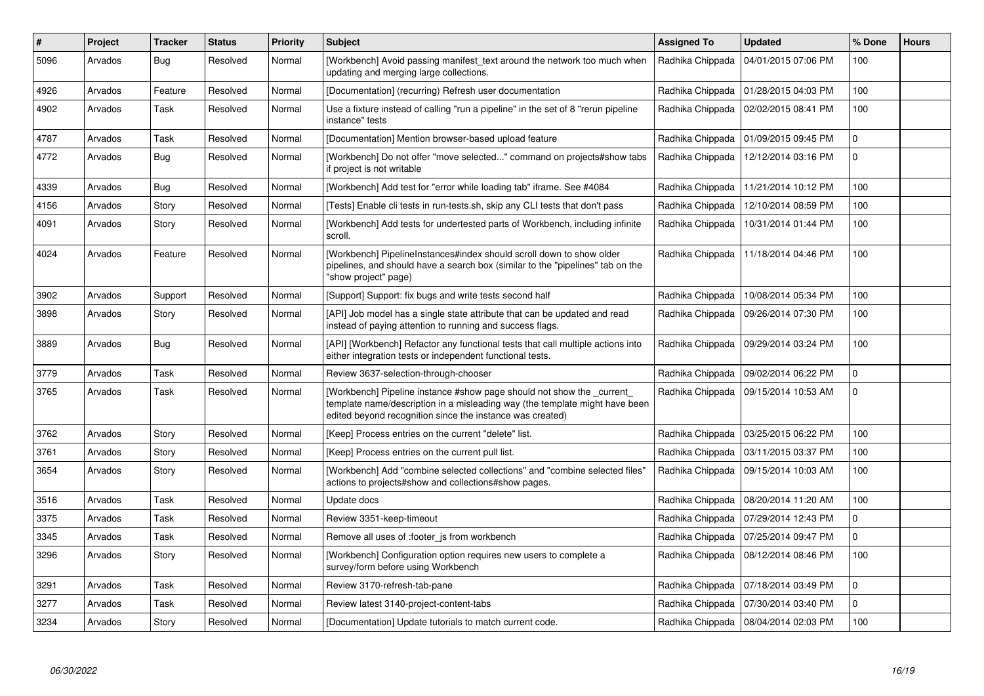| #    | Project | <b>Tracker</b> | <b>Status</b> | Priority | <b>Subject</b>                                                                                                                                                                                                    | <b>Assigned To</b> | <b>Updated</b>                         | % Done         | <b>Hours</b> |
|------|---------|----------------|---------------|----------|-------------------------------------------------------------------------------------------------------------------------------------------------------------------------------------------------------------------|--------------------|----------------------------------------|----------------|--------------|
| 5096 | Arvados | Bug            | Resolved      | Normal   | [Workbench] Avoid passing manifest text around the network too much when<br>updating and merging large collections.                                                                                               | Radhika Chippada   | 04/01/2015 07:06 PM                    | 100            |              |
| 4926 | Arvados | Feature        | Resolved      | Normal   | [Documentation] (recurring) Refresh user documentation                                                                                                                                                            | Radhika Chippada   | 01/28/2015 04:03 PM                    | 100            |              |
| 4902 | Arvados | Task           | Resolved      | Normal   | Use a fixture instead of calling "run a pipeline" in the set of 8 "rerun pipeline<br>instance" tests                                                                                                              | Radhika Chippada   | 02/02/2015 08:41 PM                    | 100            |              |
| 4787 | Arvados | Task           | Resolved      | Normal   | [Documentation] Mention browser-based upload feature                                                                                                                                                              | Radhika Chippada   | 01/09/2015 09:45 PM                    | 0              |              |
| 4772 | Arvados | <b>Bug</b>     | Resolved      | Normal   | [Workbench] Do not offer "move selected" command on projects#show tabs<br>if project is not writable                                                                                                              | Radhika Chippada   | 12/12/2014 03:16 PM                    | 0              |              |
| 4339 | Arvados | Bug            | Resolved      | Normal   | [Workbench] Add test for "error while loading tab" iframe. See #4084                                                                                                                                              | Radhika Chippada   | 11/21/2014 10:12 PM                    | 100            |              |
| 4156 | Arvados | Story          | Resolved      | Normal   | [Tests] Enable cli tests in run-tests.sh, skip any CLI tests that don't pass                                                                                                                                      | Radhika Chippada   | 12/10/2014 08:59 PM                    | 100            |              |
| 4091 | Arvados | Story          | Resolved      | Normal   | [Workbench] Add tests for undertested parts of Workbench, including infinite<br>scroll.                                                                                                                           | Radhika Chippada   | 10/31/2014 01:44 PM                    | 100            |              |
| 4024 | Arvados | Feature        | Resolved      | Normal   | [Workbench] PipelineInstances#index should scroll down to show older<br>pipelines, and should have a search box (similar to the "pipelines" tab on the<br>"show project" page)                                    | Radhika Chippada   | 11/18/2014 04:46 PM                    | 100            |              |
| 3902 | Arvados | Support        | Resolved      | Normal   | [Support] Support: fix bugs and write tests second half                                                                                                                                                           | Radhika Chippada   | 10/08/2014 05:34 PM                    | 100            |              |
| 3898 | Arvados | Story          | Resolved      | Normal   | [API] Job model has a single state attribute that can be updated and read<br>instead of paying attention to running and success flags.                                                                            | Radhika Chippada   | 09/26/2014 07:30 PM                    | 100            |              |
| 3889 | Arvados | Bug            | Resolved      | Normal   | [API] [Workbench] Refactor any functional tests that call multiple actions into<br>either integration tests or independent functional tests.                                                                      | Radhika Chippada   | 09/29/2014 03:24 PM                    | 100            |              |
| 3779 | Arvados | Task           | Resolved      | Normal   | Review 3637-selection-through-chooser                                                                                                                                                                             | Radhika Chippada   | 09/02/2014 06:22 PM                    | $\overline{0}$ |              |
| 3765 | Arvados | Task           | Resolved      | Normal   | [Workbench] Pipeline instance #show page should not show the _current<br>template name/description in a misleading way (the template might have been<br>edited beyond recognition since the instance was created) | Radhika Chippada   | 09/15/2014 10:53 AM                    | 0              |              |
| 3762 | Arvados | Story          | Resolved      | Normal   | [Keep] Process entries on the current "delete" list.                                                                                                                                                              | Radhika Chippada   | 03/25/2015 06:22 PM                    | 100            |              |
| 3761 | Arvados | Story          | Resolved      | Normal   | [Keep] Process entries on the current pull list.                                                                                                                                                                  | Radhika Chippada   | 03/11/2015 03:37 PM                    | 100            |              |
| 3654 | Arvados | Story          | Resolved      | Normal   | [Workbench] Add "combine selected collections" and "combine selected files"<br>actions to projects#show and collections#show pages.                                                                               | Radhika Chippada   | 09/15/2014 10:03 AM                    | 100            |              |
| 3516 | Arvados | Task           | Resolved      | Normal   | Update docs                                                                                                                                                                                                       | Radhika Chippada   | 08/20/2014 11:20 AM                    | 100            |              |
| 3375 | Arvados | Task           | Resolved      | Normal   | Review 3351-keep-timeout                                                                                                                                                                                          | Radhika Chippada   | 07/29/2014 12:43 PM                    | 0              |              |
| 3345 | Arvados | Task           | Resolved      | Normal   | Remove all uses of : footer js from workbench                                                                                                                                                                     | Radhika Chippada   | 07/25/2014 09:47 PM                    | $\overline{0}$ |              |
| 3296 | Arvados | Story          | Resolved      | Normal   | [Workbench] Configuration option requires new users to complete a<br>survey/form before using Workbench                                                                                                           | Radhika Chippada   | 08/12/2014 08:46 PM                    | 100            |              |
| 3291 | Arvados | Task           | Resolved      | Normal   | Review 3170-refresh-tab-pane                                                                                                                                                                                      | Radhika Chippada   | 07/18/2014 03:49 PM                    | 0              |              |
| 3277 | Arvados | Task           | Resolved      | Normal   | Review latest 3140-project-content-tabs                                                                                                                                                                           | Radhika Chippada   | 07/30/2014 03:40 PM                    | $\mathbf{0}$   |              |
| 3234 | Arvados | Story          | Resolved      | Normal   | [Documentation] Update tutorials to match current code.                                                                                                                                                           |                    | Radhika Chippada   08/04/2014 02:03 PM | 100            |              |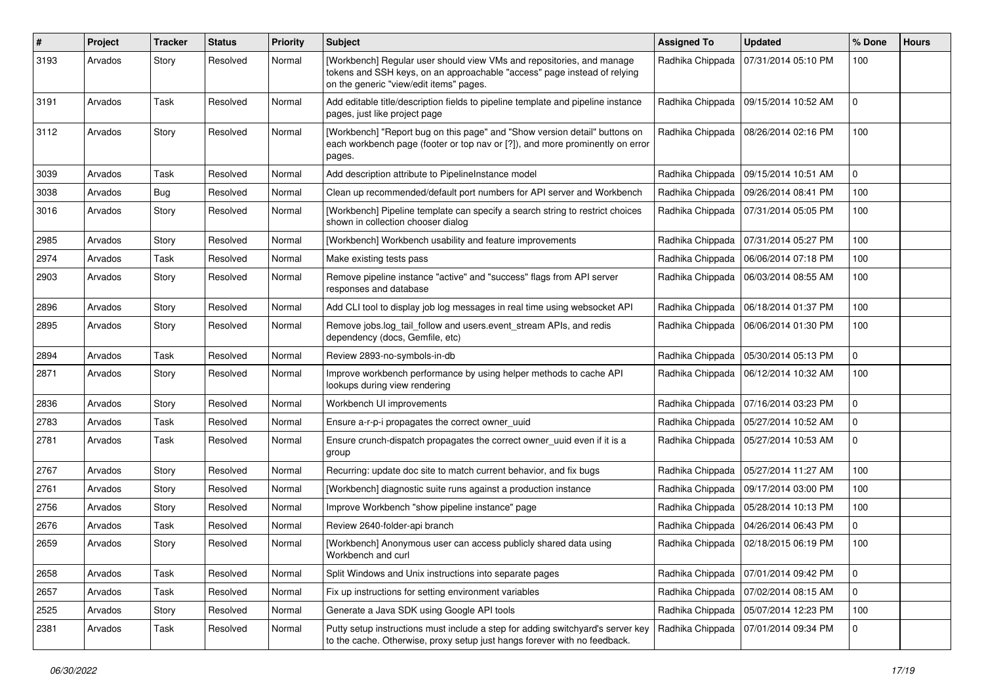| #    | Project | <b>Tracker</b> | <b>Status</b> | <b>Priority</b> | <b>Subject</b>                                                                                                                                                                               | <b>Assigned To</b> | <b>Updated</b>                         | % Done       | <b>Hours</b> |
|------|---------|----------------|---------------|-----------------|----------------------------------------------------------------------------------------------------------------------------------------------------------------------------------------------|--------------------|----------------------------------------|--------------|--------------|
| 3193 | Arvados | Story          | Resolved      | Normal          | [Workbench] Regular user should view VMs and repositories, and manage<br>tokens and SSH keys, on an approachable "access" page instead of relying<br>on the generic "view/edit items" pages. | Radhika Chippada   | 07/31/2014 05:10 PM                    | 100          |              |
| 3191 | Arvados | Task           | Resolved      | Normal          | Add editable title/description fields to pipeline template and pipeline instance<br>pages, just like project page                                                                            | Radhika Chippada   | 09/15/2014 10:52 AM                    | 0            |              |
| 3112 | Arvados | Story          | Resolved      | Normal          | [Workbench] "Report bug on this page" and "Show version detail" buttons on<br>each workbench page (footer or top nav or [?]), and more prominently on error<br>pages.                        | Radhika Chippada   | 08/26/2014 02:16 PM                    | 100          |              |
| 3039 | Arvados | Task           | Resolved      | Normal          | Add description attribute to PipelineInstance model                                                                                                                                          | Radhika Chippada   | 09/15/2014 10:51 AM                    | 0            |              |
| 3038 | Arvados | <b>Bug</b>     | Resolved      | Normal          | Clean up recommended/default port numbers for API server and Workbench                                                                                                                       | Radhika Chippada   | 09/26/2014 08:41 PM                    | 100          |              |
| 3016 | Arvados | Story          | Resolved      | Normal          | [Workbench] Pipeline template can specify a search string to restrict choices<br>shown in collection chooser dialog                                                                          | Radhika Chippada   | 07/31/2014 05:05 PM                    | 100          |              |
| 2985 | Arvados | Story          | Resolved      | Normal          | [Workbench] Workbench usability and feature improvements                                                                                                                                     | Radhika Chippada   | 07/31/2014 05:27 PM                    | 100          |              |
| 2974 | Arvados | Task           | Resolved      | Normal          | Make existing tests pass                                                                                                                                                                     | Radhika Chippada   | 06/06/2014 07:18 PM                    | 100          |              |
| 2903 | Arvados | Story          | Resolved      | Normal          | Remove pipeline instance "active" and "success" flags from API server<br>responses and database                                                                                              | Radhika Chippada   | 06/03/2014 08:55 AM                    | 100          |              |
| 2896 | Arvados | Story          | Resolved      | Normal          | Add CLI tool to display job log messages in real time using websocket API                                                                                                                    | Radhika Chippada   | 06/18/2014 01:37 PM                    | 100          |              |
| 2895 | Arvados | Story          | Resolved      | Normal          | Remove jobs.log_tail_follow and users.event_stream APIs, and redis<br>dependency (docs, Gemfile, etc)                                                                                        | Radhika Chippada   | 06/06/2014 01:30 PM                    | 100          |              |
| 2894 | Arvados | Task           | Resolved      | Normal          | Review 2893-no-symbols-in-db                                                                                                                                                                 | Radhika Chippada   | 05/30/2014 05:13 PM                    | 0            |              |
| 2871 | Arvados | Story          | Resolved      | Normal          | Improve workbench performance by using helper methods to cache API<br>lookups during view rendering                                                                                          |                    | Radhika Chippada   06/12/2014 10:32 AM | 100          |              |
| 2836 | Arvados | Story          | Resolved      | Normal          | Workbench UI improvements                                                                                                                                                                    | Radhika Chippada   | 07/16/2014 03:23 PM                    | 0            |              |
| 2783 | Arvados | Task           | Resolved      | Normal          | Ensure a-r-p-i propagates the correct owner_uuid                                                                                                                                             | Radhika Chippada   | 05/27/2014 10:52 AM                    | $\mathbf{0}$ |              |
| 2781 | Arvados | Task           | Resolved      | Normal          | Ensure crunch-dispatch propagates the correct owner uuid even if it is a<br>group                                                                                                            | Radhika Chippada   | 05/27/2014 10:53 AM                    | 0            |              |
| 2767 | Arvados | Story          | Resolved      | Normal          | Recurring: update doc site to match current behavior, and fix bugs                                                                                                                           | Radhika Chippada   | 05/27/2014 11:27 AM                    | 100          |              |
| 2761 | Arvados | Story          | Resolved      | Normal          | [Workbench] diagnostic suite runs against a production instance                                                                                                                              | Radhika Chippada   | 09/17/2014 03:00 PM                    | 100          |              |
| 2756 | Arvados | Story          | Resolved      | Normal          | Improve Workbench "show pipeline instance" page                                                                                                                                              | Radhika Chippada   | 05/28/2014 10:13 PM                    | 100          |              |
| 2676 | Arvados | Task           | Resolved      | Normal          | Review 2640-folder-api branch                                                                                                                                                                | Radhika Chippada   | 04/26/2014 06:43 PM                    | $\mathbf{0}$ |              |
| 2659 | Arvados | Story          | Resolved      | Normal          | [Workbench] Anonymous user can access publicly shared data using<br>Workbench and curl                                                                                                       |                    | Radhika Chippada   02/18/2015 06:19 PM | 100          |              |
| 2658 | Arvados | Task           | Resolved      | Normal          | Split Windows and Unix instructions into separate pages                                                                                                                                      | Radhika Chippada   | 07/01/2014 09:42 PM                    | $\mathbf 0$  |              |
| 2657 | Arvados | Task           | Resolved      | Normal          | Fix up instructions for setting environment variables                                                                                                                                        | Radhika Chippada   | 07/02/2014 08:15 AM                    | $\mathsf{O}$ |              |
| 2525 | Arvados | Story          | Resolved      | Normal          | Generate a Java SDK using Google API tools                                                                                                                                                   | Radhika Chippada   | 05/07/2014 12:23 PM                    | 100          |              |
| 2381 | Arvados | Task           | Resolved      | Normal          | Putty setup instructions must include a step for adding switchyard's server key<br>to the cache. Otherwise, proxy setup just hangs forever with no feedback.                                 | Radhika Chippada   | 07/01/2014 09:34 PM                    | 0            |              |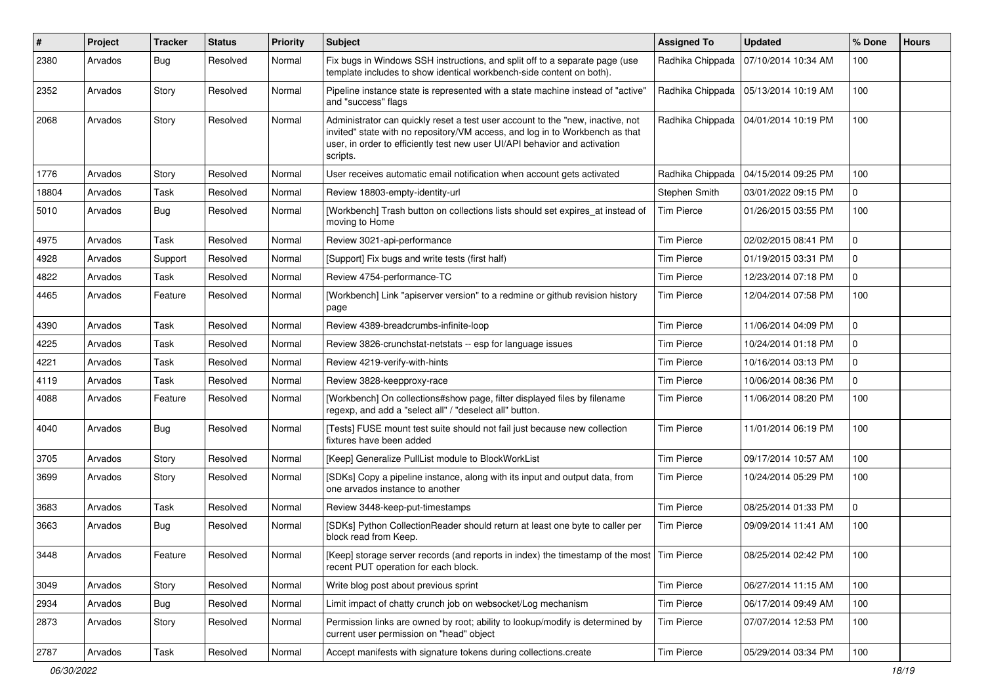| #     | Project | <b>Tracker</b> | <b>Status</b> | <b>Priority</b> | <b>Subject</b>                                                                                                                                                                                                                                           | <b>Assigned To</b> | <b>Updated</b>      | % Done       | <b>Hours</b> |
|-------|---------|----------------|---------------|-----------------|----------------------------------------------------------------------------------------------------------------------------------------------------------------------------------------------------------------------------------------------------------|--------------------|---------------------|--------------|--------------|
| 2380  | Arvados | <b>Bug</b>     | Resolved      | Normal          | Fix bugs in Windows SSH instructions, and split off to a separate page (use<br>template includes to show identical workbench-side content on both).                                                                                                      | Radhika Chippada   | 07/10/2014 10:34 AM | 100          |              |
| 2352  | Arvados | Story          | Resolved      | Normal          | Pipeline instance state is represented with a state machine instead of "active"<br>and "success" flags                                                                                                                                                   | Radhika Chippada   | 05/13/2014 10:19 AM | 100          |              |
| 2068  | Arvados | Story          | Resolved      | Normal          | Administrator can quickly reset a test user account to the "new, inactive, not<br>invited" state with no repository/VM access, and log in to Workbench as that<br>user, in order to efficiently test new user UI/API behavior and activation<br>scripts. | Radhika Chippada   | 04/01/2014 10:19 PM | 100          |              |
| 1776  | Arvados | Story          | Resolved      | Normal          | User receives automatic email notification when account gets activated                                                                                                                                                                                   | Radhika Chippada   | 04/15/2014 09:25 PM | 100          |              |
| 18804 | Arvados | Task           | Resolved      | Normal          | Review 18803-empty-identity-url                                                                                                                                                                                                                          | Stephen Smith      | 03/01/2022 09:15 PM | $\mathbf 0$  |              |
| 5010  | Arvados | <b>Bug</b>     | Resolved      | Normal          | [Workbench] Trash button on collections lists should set expires_at instead of<br>moving to Home                                                                                                                                                         | <b>Tim Pierce</b>  | 01/26/2015 03:55 PM | 100          |              |
| 4975  | Arvados | Task           | Resolved      | Normal          | Review 3021-api-performance                                                                                                                                                                                                                              | <b>Tim Pierce</b>  | 02/02/2015 08:41 PM | $\mathbf{0}$ |              |
| 4928  | Arvados | Support        | Resolved      | Normal          | [Support] Fix bugs and write tests (first half)                                                                                                                                                                                                          | <b>Tim Pierce</b>  | 01/19/2015 03:31 PM | $\mathbf 0$  |              |
| 4822  | Arvados | Task           | Resolved      | Normal          | Review 4754-performance-TC                                                                                                                                                                                                                               | <b>Tim Pierce</b>  | 12/23/2014 07:18 PM | $\mathbf{0}$ |              |
| 4465  | Arvados | Feature        | Resolved      | Normal          | [Workbench] Link "apiserver version" to a redmine or github revision history<br>page                                                                                                                                                                     | <b>Tim Pierce</b>  | 12/04/2014 07:58 PM | 100          |              |
| 4390  | Arvados | Task           | Resolved      | Normal          | Review 4389-breadcrumbs-infinite-loop                                                                                                                                                                                                                    | <b>Tim Pierce</b>  | 11/06/2014 04:09 PM | $\mathbf 0$  |              |
| 4225  | Arvados | Task           | Resolved      | Normal          | Review 3826-crunchstat-netstats -- esp for language issues                                                                                                                                                                                               | <b>Tim Pierce</b>  | 10/24/2014 01:18 PM | 0            |              |
| 4221  | Arvados | Task           | Resolved      | Normal          | Review 4219-verify-with-hints                                                                                                                                                                                                                            | <b>Tim Pierce</b>  | 10/16/2014 03:13 PM | $\mathbf 0$  |              |
| 4119  | Arvados | Task           | Resolved      | Normal          | Review 3828-keepproxy-race                                                                                                                                                                                                                               | <b>Tim Pierce</b>  | 10/06/2014 08:36 PM | $\mathbf{0}$ |              |
| 4088  | Arvados | Feature        | Resolved      | Normal          | [Workbench] On collections#show page, filter displayed files by filename<br>regexp, and add a "select all" / "deselect all" button.                                                                                                                      | Tim Pierce         | 11/06/2014 08:20 PM | 100          |              |
| 4040  | Arvados | Bug            | Resolved      | Normal          | [Tests] FUSE mount test suite should not fail just because new collection<br>fixtures have been added                                                                                                                                                    | <b>Tim Pierce</b>  | 11/01/2014 06:19 PM | 100          |              |
| 3705  | Arvados | Story          | Resolved      | Normal          | [Keep] Generalize PullList module to BlockWorkList                                                                                                                                                                                                       | <b>Tim Pierce</b>  | 09/17/2014 10:57 AM | 100          |              |
| 3699  | Arvados | Story          | Resolved      | Normal          | [SDKs] Copy a pipeline instance, along with its input and output data, from<br>one arvados instance to another                                                                                                                                           | <b>Tim Pierce</b>  | 10/24/2014 05:29 PM | 100          |              |
| 3683  | Arvados | Task           | Resolved      | Normal          | Review 3448-keep-put-timestamps                                                                                                                                                                                                                          | <b>Tim Pierce</b>  | 08/25/2014 01:33 PM | $\mathbf 0$  |              |
| 3663  | Arvados | <b>Bug</b>     | Resolved      | Normal          | [SDKs] Python CollectionReader should return at least one byte to caller per<br>block read from Keep.                                                                                                                                                    | <b>Tim Pierce</b>  | 09/09/2014 11:41 AM | 100          |              |
| 3448  | Arvados | Feature        | Resolved      | Normal          | [Keep] storage server records (and reports in index) the timestamp of the most Tim Pierce<br>recent PUT operation for each block.                                                                                                                        |                    | 08/25/2014 02:42 PM | 100          |              |
| 3049  | Arvados | Story          | Resolved      | Normal          | Write blog post about previous sprint                                                                                                                                                                                                                    | <b>Tim Pierce</b>  | 06/27/2014 11:15 AM | 100          |              |
| 2934  | Arvados | <b>Bug</b>     | Resolved      | Normal          | Limit impact of chatty crunch job on websocket/Log mechanism                                                                                                                                                                                             | <b>Tim Pierce</b>  | 06/17/2014 09:49 AM | 100          |              |
| 2873  | Arvados | Story          | Resolved      | Normal          | Permission links are owned by root; ability to lookup/modify is determined by<br>current user permission on "head" object                                                                                                                                | <b>Tim Pierce</b>  | 07/07/2014 12:53 PM | 100          |              |
| 2787  | Arvados | Task           | Resolved      | Normal          | Accept manifests with signature tokens during collections.create                                                                                                                                                                                         | <b>Tim Pierce</b>  | 05/29/2014 03:34 PM | 100          |              |